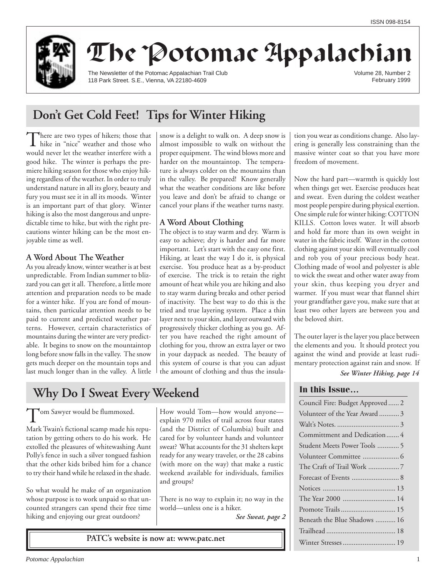

# The Potomac Appalachian

The Newsletter of the Potomac Appalachian Trail Club 118 Park Street. S.E., Vienna, VA 22180-4609

Volume 28, Number 2 February 1999

## **Don't Get Cold Feet! Tips for Winter Hiking**

There are two types of hikers; those that<br>hike in "nice" weather and those who would never let the weather interfere with a good hike. The winter is perhaps the premiere hiking season for those who enjoy hiking regardless of the weather. In order to truly understand nature in all its glory, beauty and fury you must see it in all its moods. Winter is an important part of that glory. Winter hiking is also the most dangerous and unpredictable time to hike, but with the right precautions winter hiking can be the most enjoyable time as well.

### **A Word About The Weather**

As you already know, winter weather is at best unpredictable. From Indian summer to blizzard you can get it all. Therefore, a little more attention and preparation needs to be made for a winter hike. If you are fond of mountains, then particular attention needs to be paid to current and predicted weather patterns. However, certain characteristics of mountains during the winter are very predictable. It begins to snow on the mountaintop long before snow falls in the valley. The snow gets much deeper on the mountain tops and last much longer than in the valley. A little

snow is a delight to walk on. A deep snow is almost impossible to walk on without the proper equipment. The wind blows more and harder on the mountaintop. The temperature is always colder on the mountains than in the valley. Be prepared! Know generally what the weather conditions are like before you leave and don't be afraid to change or cancel your plans if the weather turns nasty.

## **A Word About Clothing**

The object is to stay warm and dry. Warm is easy to achieve; dry is harder and far more important. Let's start with the easy one first. Hiking, at least the way I do it, is physical exercise. You produce heat as a by-product of exercise. The trick is to retain the right amount of heat while you are hiking and also to stay warm during breaks and other period of inactivity. The best way to do this is the tried and true layering system. Place a thin layer next to your skin, and layer outward with progressively thicker clothing as you go. After you have reached the right amount of clothing for you, throw an extra layer or two in your daypack as needed. The beauty of this system of course is that you can adjust the amount of clothing and thus the insulation you wear as conditions change. Also layering is generally less constraining than the massive winter coat so that you have more freedom of movement.

Now the hard part—warmth is quickly lost when things get wet. Exercise produces heat and sweat. Even during the coldest weather most people perspire during physical exertion. One simple rule for winter hiking: COTTON KILLS. Cotton loves water. It will absorb and hold far more than its own weight in water in the fabric itself. Water in the cotton clothing against your skin will eventually cool and rob you of your precious body heat. Clothing made of wool and polyester is able to wick the sweat and other water away from your skin, thus keeping you dryer and warmer. If you must wear that flannel shirt your grandfather gave you, make sure that at least two other layers are between you and the beloved shirt.

The outer layer is the layer you place between the elements and you. It should protect you against the wind and provide at least rudimentary protection against rain and snow. If

*See Winter Hiking, page 14*

## **In this Issue…**

| Council Fire: Budget Approved  2 |
|----------------------------------|
| Volunteer of the Year Award 3    |
|                                  |
| Committment and Dedication 4     |
| Student Meets Power Tools 5      |
|                                  |
|                                  |
|                                  |
|                                  |
|                                  |
| Promote Trails 15                |
| Beneath the Blue Shadows  16     |
|                                  |
|                                  |

## **Why Do I Sweat Every Weekend**

Tom Sawyer would be flummoxed.

Mark Twain's fictional scamp made his reputation by getting others to do his work. He extolled the pleasures of whitewashing Aunt Polly's fence in such a silver tongued fashion that the other kids bribed him for a chance to try their hand while he relaxed in the shade.

So what would he make of an organization whose purpose is to work unpaid so that uncounted strangers can spend their free time hiking and enjoying our great outdoors?

How would Tom—how would anyone explain 970 miles of trail across four states (and the District of Columbia) built and cared for by volunteer hands and volunteer sweat? What accounts for the 31 shelters kept ready for any weary traveler, or the 28 cabins (with more on the way) that make a rustic weekend available for individuals, families and groups?

There is no way to explain it; no way in the world—unless one is a hiker.

*See Sweat, page 2*

**PATC's website is now at: www.patc.net**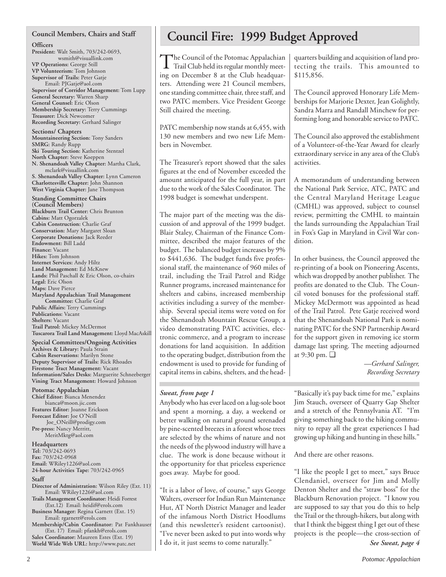#### **Council Members, Chairs and Staff**

**Officers**

**President:** Walt Smith, 703/242-0693, wsmith@visuallink.com **VP Operations:** George Still **VP Volunteerism:** Tom Johnson **Supervisor of Trails:** Peter Gatje Email: PJGatje@aol.com **Supervisor of Corridor Management:** Tom Lupp **General Secretary:** Warren Sharp **General Counsel:** Eric Olson **Membership Secretary:** Terry Cummings **Treasurer:** Dick Newcomer **Recording Secretary:** Gerhard Salinger

**Sections/ Chapters Mountaineering Section:** Tony Sanders **SMRG:** Randy Rupp **Ski Touring Section:** Katherine Stentzel **North Chapter:** Steve Koeppen **N. Shenandoah Valley Chapter:** Martha Clark, mclark@visuallink.com **S. Shenandoah Valley Chapter:** Lynn Cameron **Charlottesville Chapter:** John Shannon **West Virginia Chapter:** Jane Thompson

**Standing Committee Chairs (Council Members) Blackburn Trail Center:** Chris Brunton **Cabins:** Matt Ogorzalek **Cabin Construction:** Charlie Graf **Conservation:** Mary Margaret Sloan **Corporate Donations:** Jack Reeder **Endowment:** Bill Ladd **Finance:** Vacant **Hikes:** Tom Johnson **Internet Services:** Andy Hiltz **Land Management:** Ed McKnew **Lands:** Phil Paschall & Eric Olson, co-chairs **Legal:** Eric Olson **Maps:** Dave Pierce **Maryland Appalachian Trail Management Committee:** Charlie Graf **Public Affairs:** Terry Cummings **Publications:** Vacant **Shelters:** Vacant **Trail Patrol:** Mickey McDermot **Tuscarora Trail Land Management:** Lloyd MacAskill

**Special Committees/Ongoing Activities Archives & Library:** Paula Strain **Cabin Reservations:** Marilyn Stone **Deputy Supervisor of Trails:** Rick Rhoades **Firestone Tract Management:** Vacant **Information/Sales Desks:** Marguerite Schneeberger **Vining Tract Management:** Howard Johnson

**Potomac Appalachian Chief Editor:** Bianca Menendez bianca@moon.jic.com **Features Editor:** Joanne Erickson **Forecast Editor:** Joe O'Neill Joe\_ONeill@prodigy.com **Pre-press:** Nancy Merritt, MeritMktg@aol.com

**Headquarters Tel:** 703/242-0693 **Fax:** 703/242-0968 **Email:** WRiley1226@aol.com **24-hour Activities Tape:** 703/242-0965

#### **Staff**

**Director of Administration:** Wilson Riley (Ext. 11) Email: WRiley1226@aol.com

**Trails Management Coordinator:** Heidi Forrest (Ext.12) Email: heidif@erols.com **Business Manager:** Regina Garnett (Ext. 15)

Email: rgarnett@erols.com

**Membership/Cabin Coordinator:** Pat Fankhauser (Ext. 17) Email: pfankh@erols.com **Sales Coordinator:** Maureen Estes (Ext. 19)

**World Wide Web URL:** http://www.patc.net

## **Council Fire: 1999 Budget Approved**

The Council of the Potomac Appalachian<br>Trail Club held its regular monthly meeting on December 8 at the Club headquarters. Attending were 21 Council members, one standing committee chair, three staff, and two PATC members. Vice President George Still chaired the meeting.

PATC membership now stands at 6,455, with 130 new members and two new Life Members in November.

The Treasurer's report showed that the sales figures at the end of November exceeded the amount anticipated for the full year, in part due to the work of the Sales Coordinator. The 1998 budget is somewhat underspent.

The major part of the meeting was the discussion of and approval of the 1999 budget. Blair Staley, Chairman of the Finance Committee, described the major features of the budget. The balanced budget increases by 9% to \$441,636. The budget funds five professional staff, the maintenance of 960 miles of trail, including the Trail Patrol and Ridge Runner programs, increased maintenance for shelters and cabins, increased membership activities including a survey of the membership. Several special items were voted on for the Shenandoah Mountain Rescue Group, a video demonstrating PATC activities, electronic commerce, and a program to increase donations for land acquisition. In addition to the operating budget, distribution from the endowment is used to provide for funding of capital items in cabins, shelters, and the head-

Anybody who has ever laced on a lug-sole boot and spent a morning, a day, a weekend or better walking on natural ground serenaded by pine-scented breezes in a forest whose trees are selected by the whims of nature and not the needs of the plywood industry will have a clue. The work is done because without it the opportunity for that priceless experience goes away. Maybe for good.

"It is a labor of love, of course," says George Walters, overseer for Indian Run Maintenance Hut, AT North District Manager and leader of the infamous North District Hoodlums (and this newsletter's resident cartoonist). "I've never been asked to put into words why I do it, it just seems to come naturally."

quarters building and acquisition of land protecting the trails. This amounted to \$115,856.

The Council approved Honorary Life Memberships for Marjorie Dexter, Jean Golightly, Sandra Marra and Randall Minchew for performing long and honorable service to PATC.

The Council also approved the establishment of a Volunteer-of-the-Year Award for clearly extraordinary service in any area of the Club's activities.

A memorandum of understanding between the National Park Service, ATC, PATC and the Central Maryland Heritage League (CMHL) was approved, subject to counsel review, permitting the CMHL to maintain the lands surrounding the Appalachian Trail in Fox's Gap in Maryland in Civil War condition.

In other business, the Council approved the re-printing of a book on Pioneering Ascents, which was dropped by another publisher. The profits are donated to the Club. The Council voted bonuses for the professional staff. Mickey McDermott was appointed as head of the Trail Patrol. Pete Gatje received word that the Shenandoah National Park is nominating PATC for the SNP Partnership Award for the support given in removing ice storm damage last spring. The meeting adjourned at 9:30 pm. ❑

> *—Gerhard Salinger, Recording Secretary*

*Sweat, from page 1* "Basically it's pay back time for me," explains Jim Stauch, overseer of Quarry Gap Shelter and a stretch of the Pennsylvania AT. "I'm giving something back to the hiking community to repay all the great experiences I had growing up hiking and hunting in these hills."

And there are other reasons.

"I like the people I get to meet," says Bruce Clendaniel, overseer for Jim and Molly Denton Shelter and the "straw boss" for the Blackburn Renovation project. "I know you are supposed to say that you do this to help the Trail or the through-hikers, but along with that I think the biggest thing I get out of these projects is the people—the cross-section of *See Sweat, page 4*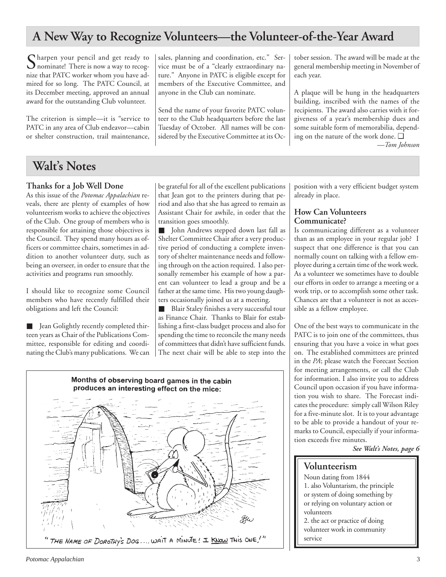## **A New Way to Recognize Volunteers—the Volunteer-of-the-Year Award**

Sharpen your pencil and get ready to<br>nominate! There is now a way to recognize that PATC worker whom you have admired for so long. The PATC Council, at its December meeting, approved an annual award for the outstanding Club volunteer.

The criterion is simple—it is "service to PATC in any area of Club endeavor—cabin or shelter construction, trail maintenance, sales, planning and coordination, etc." Service must be of a "clearly extraordinary nature." Anyone in PATC is eligible except for members of the Executive Committee, and anyone in the Club can nominate.

Send the name of your favorite PATC volunteer to the Club headquarters before the last Tuesday of October. All names will be considered by the Executive Committee at its October session. The award will be made at the general membership meeting in November of each year.

A plaque will be hung in the headquarters building, inscribed with the names of the recipients. The award also carries with it forgiveness of a year's membership dues and some suitable form of memorabilia, depending on the nature of the work done. ❑ *—Tom Johnson*

## **Walt's Notes**

### **Thanks for a Job Well Done**

As this issue of the *Potomac Appalachian* reveals, there are plenty of examples of how volunteerism works to achieve the objectives of the Club. One group of members who is responsible for attaining those objectives is the Council. They spend many hours as officers or committee chairs, sometimes in addition to another volunteer duty, such as being an overseer, in order to ensure that the activities and programs run smoothly.

I should like to recognize some Council members who have recently fulfilled their obligations and left the Council:

■ Jean Golightly recently completed thirteen years as Chair of the Publications Committee, responsible for editing and coordinating the Club's many publications. We can be grateful for all of the excellent publications that Jean got to the printers during that period and also that she has agreed to remain as Assistant Chair for awhile, in order that the transition goes smoothly.

■ John Andrews stepped down last fall as Shelter Committee Chair after a very productive period of conducting a complete inventory of shelter maintenance needs and following through on the action required. I also personally remember his example of how a parent can volunteer to lead a group and be a father at the same time. His two young daughters occasionally joined us at a meeting.

■ Blair Staley finishes a very successful tour as Finance Chair. Thanks to Blair for establishing a first-class budget process and also for spending the time to reconcile the many needs of committees that didn't have sufficient funds. The next chair will be able to step into the



### **How Can Volunteers Communicate?**

Is communicating different as a volunteer than as an employee in your regular job? I suspect that one difference is that you can normally count on talking with a fellow employee during a certain time of the work week. As a volunteer we sometimes have to double our efforts in order to arrange a meeting or a work trip, or to accomplish some other task. Chances are that a volunteer is not as accessible as a fellow employee.

One of the best ways to communicate in the PATC is to join one of the committees, thus ensuring that you have a voice in what goes on. The established committees are printed in the *PA*; please watch the Forecast Section for meeting arrangements, or call the Club for information. I also invite you to address Council upon occasion if you have information you wish to share. The Forecast indicates the procedure: simply call Wilson Riley for a five-minute slot. It is to your advantage to be able to provide a handout of your remarks to Council, especially if your information exceeds five minutes.

*See Walt's Notes, page 6*

## **Volunteerism**

service

Noun dating from 1844 1. also Voluntarism, the principle or system of doing something by or relying on voluntary action or volunteers 2. the act or practice of doing volunteer work in community



*Potomac Appalachian* 3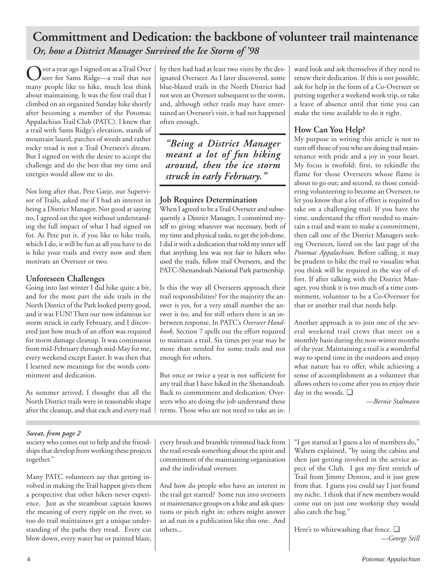## **Committment and Dedication: the backbone of volunteer trail maintenance** *Or, how a District Manager Survived the Ice Storm of '98*

Over a year ago I signed on as a Trail Over seer for Sams Ridge—a trail that not many people like to hike, much less think about maintaining. It was the first trail that I climbed on an organized Sunday hike shortly after becoming a member of the Potomac Appalachian Trail Club (PATC). I knew that a trail with Sams Ridge's elevation, stands of mountain laurel, patches of weeds and rather rocky tread is not a Trail Overseer's dream. But I signed on with the desire to accept the challenge and do the best that my time and energies would allow me to do.

Not long after that, Pete Gatje, our Supervisor of Trails, asked me if I had an interest in being a District Manager. Not good at saying no, I agreed on the spot without understanding the full impact of what I had signed on for. As Pete put it, if you like to hike trails, which I do, it will be fun as all you have to do is hike your trails and every now and then motivate an Overseer or two.

### **Unforeseen Challenges**

Going into last winter I did hike quite a bit, and for the most part the side trails in the North District of the Park looked pretty good, and it was FUN! Then our now infamous ice storm struck in early February, and I discovered just how much of an effort was required for storm damage cleanup. It was continuous from mid-February through mid-May for me, every weekend except Easter. It was then that I learned new meanings for the words commitment and dedication.

As summer arrived, I thought that all the North District trails were in reasonable shape after the cleanup, and that each and every trail by then had had at least two visits by the designated Overseer. As I later discovered, some blue-blazed trails in the North District had not seen an Overseer subsequent to the storm, and, although other trails may have entertained an Overseer's visit, it had not happened often enough.

*"Being a District Manager meant a lot of fun hiking around, then the ice storm struck in early February."*

## **Job Requires Determination**

When I agreed to be a Trail Overseer and subsequently a District Manager, I committed myself to giving whatever was necessary, both of my time and physical tasks, to get the job done. I did it with a dedication that told my inner self that anything less was not fair to hikers who used the trails, fellow trail Overseers, and the PATC-Shenandoah National Park partnership.

Is this the way all Overseers approach their trail responsibilities? For the majority the answer is yes, for a very small number the answer is no, and for still others there is an inbetween response. In PATC's *Overseer Handbook,* Section 7 spells out the effort required to maintain a trail. Six times per year may be more than needed for some trails and not enough for others.

But once or twice a year is not sufficient for any trail that I have hiked in the Shenandoah. Back to commitment and dedication. Overseers who are doing the job understand these terms. Those who are not need to take an in-

ward look and ask themselves if they need to renew their dedication. If this is not possible, ask for help in the form of a Co-Overseer or putting together a weekend work trip, or take a leave of absence until that time you can make the time available to do it right.

## **How Can You Help?**

My purpose in writing this article is not to turn off those of you who are doing trail maintenance with pride and a joy in your heart. My focus is twofold: first, to rekindle the flame for those Overseers whose flame is about to go out; and second, to those considering volunteering to become an Overseer, to let you know that a lot of effort is required to take on a challenging trail. If you have the time, understand the effort needed to maintain a trail and want to make a commitment, then call one of the District Managers seeking Overseers, listed on the last page of the *Potomac Appalachian.* Before calling, it may be prudent to hike the trail to visualize what you think will be required in the way of effort. If after talking with the District Manager, you think it is too much of a time commitment, volunteer to be a Co-Overseer for that or another trail that needs help.

Another approach is to join one of the several weekend trail crews that meet on a monthly basis during the non-winter months of the year. Maintaining a trail is a wonderful way to spend time in the outdoors and enjoy what nature has to offer, while achieving a sense of accomplishment as a volunteer that allows others to come after you to enjoy their day in the woods. ❑

*—Bernie Stalmann*

### *Sweat, from page 2*

society who comes out to help and the friendships that develop from working these projects together."

Many PATC volunteers say that getting involved in making the Trail happen gives them a perspective that other hikers never experience. Just as the steamboat captain knows the meaning of every ripple on the river, so too do trail maintainers get a unique understanding of the paths they tread. Every cut blow down, every water bar or painted blaze,

every brush and bramble trimmed back from the trail reveals something about the spirit and commitment of the maintaining organization and the individual overseer.

And how do people who have an interest in the trail get started? Some run into overseers or maintenance groups on a hike and ask questions or pitch right in; others might answer an ad run in a publication like this one. And others...

"I got started as I guess a lot of members do," Walters explained, "by using the cabins and then just getting involved in the service aspect of the Club. I got my first stretch of Trail from Jimmy Denton, and it just grew from that. I guess you could say I just found my niche. I think that if new members would come out on just one worktrip they would also catch the bug."

Here's to whitewashing that fence. ❑ *—George Still*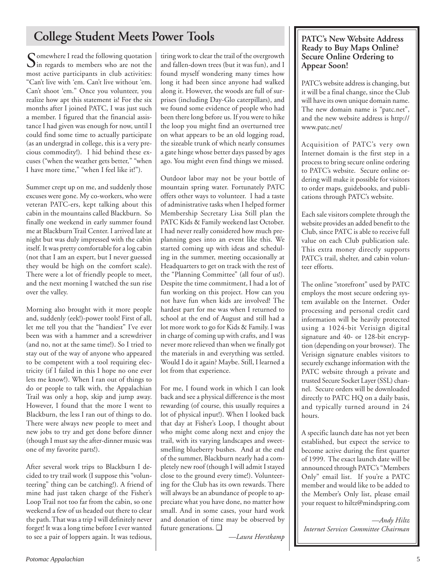## **College Student Meets Power Tools**

Somewhere I read the following quotation<br>in regards to members who are not the most active participants in club activities: "Can't live with 'em. Can't live without 'em. Can't shoot 'em." Once you volunteer, you realize how apt this statement is! For the six months after I joined PATC, I was just such a member. I figured that the financial assistance I had given was enough for now, until I could find some time to actually participate (as an undergrad in college, this is a very precious commodity!). I hid behind these excuses ("when the weather gets better," "when I have more time," "when I feel like it!").

Summer crept up on me, and suddenly those excuses were gone. My co-workers, who were veteran PATC-ers, kept talking about this cabin in the mountains called Blackburn. So finally one weekend in early summer found me at Blackburn Trail Center. I arrived late at night but was duly impressed with the cabin itself. It was pretty comfortable for a log cabin (not that I am an expert, but I never guessed they would be high on the comfort scale). There were a lot of friendly people to meet, and the next morning I watched the sun rise over the valley.

Morning also brought with it more people and, suddenly (eek!)-power tools! First of all, let me tell you that the "handiest" I've ever been was with a hammer and a screwdriver (and no, not at the same time!). So I tried to stay out of the way of anyone who appeared to be competent with a tool requiring electricity (if I failed in this I hope no one ever lets me know!). When I ran out of things to do or people to talk with, the Appalachian Trail was only a hop, skip and jump away. However, I found that the more I went to Blackburn, the less I ran out of things to do. There were always new people to meet and new jobs to try and get done before dinner (though I must say the after-dinner music was one of my favorite parts!).

After several work trips to Blackburn I decided to try trail work (I suppose this "volunteering" thing can be catching!). A friend of mine had just taken charge of the Fisher's Loop Trail not too far from the cabin, so one weekend a few of us headed out there to clear the path. That was a trip I will definitely never forget! It was a long time before I ever wanted to see a pair of loppers again. It was tedious,

tiring work to clear the trail of the overgrowth and fallen-down trees (but it was fun), and I found myself wondering many times how long it had been since anyone had walked along it. However, the woods are full of surprises (including Day-Glo caterpillars), and we found some evidence of people who had been there long before us. If you were to hike the loop you might find an overturned tree on what appears to be an old logging road, the sizeable trunk of which nearly consumes a gate hinge whose better days passed by ages ago. You might even find things we missed.

Outdoor labor may not be your bottle of mountain spring water. Fortunately PATC offers other ways to volunteer. I had a taste of administrative tasks when I helped former Membership Secretary Lisa Still plan the PATC Kids & Family weekend last October. I had never really considered how much preplanning goes into an event like this. We started coming up with ideas and scheduling in the summer, meeting occasionally at Headquarters to get on track with the rest of the "Planning Committee" (all four of us!). Despite the time commitment, I had a lot of fun working on this project. How can you not have fun when kids are involved! The hardest part for me was when I returned to school at the end of August and still had a lot more work to go for Kids & Family. I was in charge of coming up with crafts, and I was never more relieved than when we finally got the materials in and everything was settled. Would I do it again? Maybe. Still, I learned a lot from that experience.

For me, I found work in which I can look back and see a physical difference is the most rewarding (of course, this usually requires a lot of physical input!). When I looked back that day at Fisher's Loop, I thought about who might come along next and enjoy the trail, with its varying landscapes and sweetsmelling blueberry bushes. And at the end of the summer, Blackburn nearly had a completely new roof (though I will admit I stayed close to the ground every time!). Volunteering for the Club has its own rewards. There will always be an abundance of people to appreciate what you have done, no matter how small. And in some cases, your hard work and donation of time may be observed by future generations. ❑

*—Laura Horstkamp*

### **PATC's New Website Address Ready to Buy Maps Online? Secure Online Ordering to Appear Soon!**

PATC's website address is changing, but it will be a final change, since the Club will have its own unique domain name. The new domain name is "patc.net", and the new website address is http:// www.patc.net/

Acquisition of PATC's very own Internet domain is the first step in a process to bring secure online ordering to PATC's website. Secure online ordering will make it possible for visitors to order maps, guidebooks, and publications through PATC's website.

Each sale visitors complete through the website provides an added benefit to the Club, since PATC is able to receive full value on each Club publication sale. This extra money directly supports PATC's trail, shelter, and cabin volunteer efforts.

The online "storefront" used by PATC employs the most secure ordering system available on the Internet. Order processing and personal credit card information will be heavily protected using a 1024-bit Verisign digital signature and 40- or 128-bit encryption (depending on your browser). The Verisign signature enables visitors to securely exchange information with the PATC website through a private and trusted Secure Socket Layer (SSL) channel. Secure orders will be downloaded directly to PATC HQ on a daily basis, and typically turned around in 24 hours.

A specific launch date has not yet been established, but expect the service to become active during the first quarter of 1999. The exact launch date will be announced through PATC's "Members Only" email list. If you're a PATC member and would like to be added to the Member's Only list, please email your request to hiltz@mindspring.com

*—Andy Hiltz Internet Services Committee Chairman*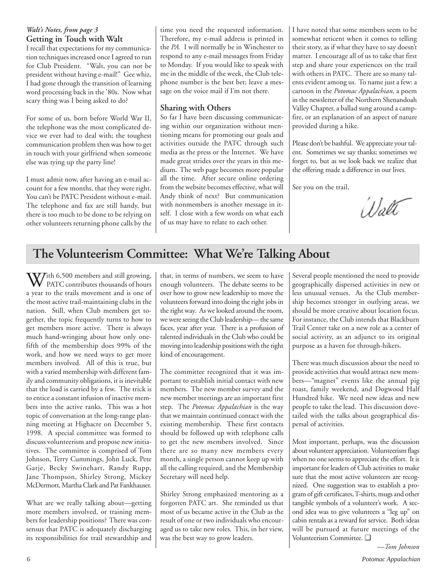### *Walt's Notes, from page 3* **Getting in Touch with Walt**

I recall that expectations for my communication techniques increased once I agreed to run for Club President. "Walt, you can not be president without having e-mail!" Gee whiz, I had gone through the transition of learning word processing back in the '80s. Now what scary thing was I being asked to do?

For some of us, born before World War II, the telephone was the most complicated device we ever had to deal with; the toughest communication problem then was how to get in touch with your girlfriend when someone else was tying up the party line!

I must admit now, after having an e-mail account for a few months, that they were right. You can't be PATC President without e-mail. The telephone and fax are still handy, but there is too much to be done to be relying on other volunteers returning phone calls by the

time you need the requested information. Therefore, my e-mail address is printed in the *PA.* I will normally be in Winchester to respond to any e-mail messages from Friday to Monday. If you would like to speak with me in the middle of the week, the Club telephone number is the best bet; leave a message on the voice mail if I'm not there.

### **Sharing with Others**

So far I have been discussing communicating within our organization without mentioning means for promoting our goals and activities outside the PATC through such media as the press or the Internet. We have made great strides over the years in this medium. The web page becomes more popular all the time. After secure online ordering from the website becomes effective, what will Andy think of next? But communication with nonmembers is another message in itself. I close with a few words on what each of us may have to relate to each other.

I have noted that some members seem to be somewhat reticent when it comes to telling their story, as if what they have to say doesn't matter. I encourage all of us to take that first step and share your experiences on the trail with others in PATC. There are so many talents evident among us. To name just a few: a cartoon in the *Potomac Appalachian,* a poem in the newsletter of the Northern Shenandoah Valley Chapter, a ballad sung around a campfire, or an explanation of an aspect of nature provided during a hike.

Please don't be bashful. We appreciate your talent. Sometimes we say thanks; sometimes we forget to, but as we look back we realize that the offering made a difference in our lives.

See you on the trail,

Walt

## **The Volunteerism Committee: What We're Talking About**

With 6,500 members and still growing,<br>PATC contributes thousands of hours a year to the trails movement and is one of the most active trail-maintaining clubs in the nation. Still, when Club members get together, the topic frequently turns to how to get members more active. There is always much hand-wringing about how only onefifth of the membership does 99% of the work, and how we need ways to get more members involved. All of this is true, but with a varied membership with different family and community obligations, it is inevitable that the load is carried by a few. The trick is to entice a constant infusion of inactive members into the active ranks. This was a hot topic of conversation at the long-range planning meeting at Highacre on December 5, 1998. A special committee was formed to discuss volunteerism and propose new initiatives. The committee is comprised of Tom Johnson, Terry Cummings, John Luck, Pete Gatje, Becky Swinehart, Randy Rupp, Jane Thompson, Shirley Strong, Mickey McDermott, Martha Clark and Pat Fankhauser.

What are we really talking about—getting more members involved, or training members for leadership positions? There was consensus that PATC is adequately discharging its responsibilities for trail stewardship and

that, in terms of numbers, we seem to have enough volunteers. The debate seems to be over how to grow new leadership to move the volunteers forward into doing the right jobs in the right way. As we looked around the room, we were seeing the Club leadership— the same faces, year after year. There is a profusion of talented individuals in the Club who could be moving into leadership positions with the right kind of encouragement.

The committee recognized that it was important to establish initial contact with new members. The new member survey and the new member meetings are an important first step. The *Potomac Appalachian* is the way that we maintain continued contact with the existing membership. These first contacts should be followed up with telephone calls to get the new members involved. Since there are so many new members every month, a single person cannot keep up with all the calling required, and the Membership Secretary will need help.

Shirley Strong emphasized mentoring as a forgotten PATC art. She reminded us that most of us became active in the Club as the result of one or two individuals who encouraged us to take new roles. This, in her view, was the best way to grow leaders.

Several people mentioned the need to provide geographically dispersed activities in new or less unusual venues. As the Club membership becomes stronger in outlying areas, we should be more creative about location focus. For instance, the Club intends that Blackburn Trail Center take on a new role as a center of social activity, as an adjunct to its original purpose as a haven for through-hikers.

There was much discussion about the need to provide activities that would attract new members—"magnet" events like the annual pig roast, family weekend, and Dogwood Half Hundred hike. We need new ideas and new people to take the lead. This discussion dovetailed with the talks about geographical dispersal of activities.

Most important, perhaps, was the discussion about volunteer appreciation. Volunteerism flags when no one seems to appreciate the effort. It is important for leaders of Club activities to make sure that the most active volunteers are recognized. One suggestion was to establish a program of gift certificates, T-shirts, mugs and other tangible symbols of a volunteer's work. A second idea was to give volunteers a "leg up" on cabin rentals as a reward for service. Both ideas will be pursued at future meetings of the Volunteerism Committee. ❑

*—Tom Johnson*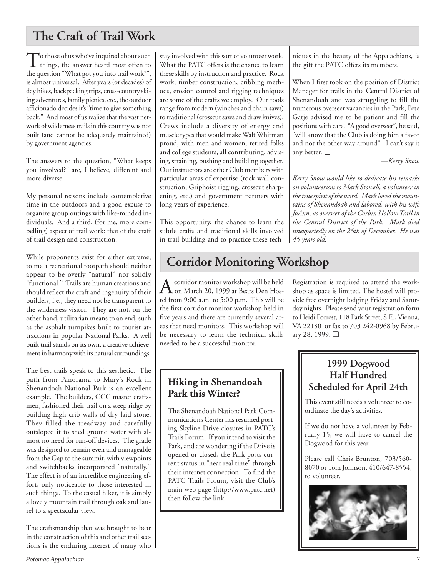## **The Craft of Trail Work**

 $\sum$  those of us who've inquired about such things, the answer heard most often to the question "What got you into trail work?", is almost universal. After years (or decades) of day hikes, backpacking trips, cross-country skiing adventures, family picnics, etc., the outdoor afficionado decides it's "time to give something back." And most of us realize that the vast network of wilderness trails in this country was not built (and cannot be adequately maintained) by government agencies.

The answers to the question, "What keeps you involved?" are, I believe, different and more diverse.

My personal reasons include contemplative time in the outdoors and a good excuse to organize group outings with like-minded individuals. And a third, (for me, more compelling) aspect of trail work: that of the craft of trail design and construction.

While proponents exist for either extreme, to me a recreational footpath should neither appear to be overly "natural" nor solidly "functional." Trails are human creations and should reflect the craft and ingenuity of their builders, i.e., they need not be transparent to the wilderness visitor. They are not, on the other hand, utilitarian means to an end, such as the asphalt turnpikes built to tourist attractions in popular National Parks. A well built trail stands on its own, a creative achievement in harmony with its natural surroundings.

The best trails speak to this aesthetic. The path from Panorama to Mary's Rock in Shenandoah National Park is an excellent example. The builders, CCC master craftsmen, fashioned their trail on a steep ridge by building high crib walls of dry laid stone. They filled the treadway and carefully outsloped it to shed ground water with almost no need for run-off devices. The grade was designed to remain even and manageable from the Gap to the summit, with viewpoints and switchbacks incorporated "naturally." The effect is of an incredible engineering effort, only noticeable to those interested in such things. To the casual hiker, it is simply a lovely mountain trail through oak and laurel to a spectacular view.

The craftsmanship that was brought to bear in the construction of this and other trail sections is the enduring interest of many who

stay involved with this sort of volunteer work. What the PATC offers is the chance to learn these skills by instruction and practice. Rock work, timber construction, cribbing methods, erosion control and rigging techniques are some of the crafts we employ. Our tools range from modern (winches and chain saws) to traditional (crosscut saws and draw knives). Crews include a diversity of energy and muscle types that would make Walt Whitman proud, with men and women, retired folks and college students, all contributing, advising, straining, pushing and building together. Our instructors are other Club members with particular areas of expertise (rock wall construction, Griphoist rigging, crosscut sharpening, etc.) and government partners with long years of experience.

This opportunity, the chance to learn the subtle crafts and traditional skills involved in trail building and to practice these tech-

## **Corridor Monitoring Workshop**

 $A<sub>on March 20, 1999</sub>$  at Bears Den Hos-<br>
on March 20, 1999 at Bears Den Hostel from 9:00 a.m. to 5:00 p.m. This will be the first corridor monitor workshop held in five years and there are currently several areas that need monitors. This workshop will be necessary to learn the technical skills needed to be a successful monitor.

niques in the beauty of the Appalachians, is the gift the PATC offers its members.

When I first took on the position of District Manager for trails in the Central District of Shenandoah and was struggling to fill the numerous overseer vacancies in the Park, Pete Gatje advised me to be patient and fill the positions with care. "A good overseer", he said, "will know that the Club is doing him a favor and not the other way around". I can't say it any better. ❑

*—Kerry Snow*

*Kerry Snow would like to dedicate his remarks on volunteerism to Mark Stowell, a volunteer in the true spirit of the word. Mark loved the mountains of Shenandoah and labored, with his wife JoAnn, as overseer of the Corbin Hollow Trail in the Central District of the Park. Mark died unexpectedly on the 26th of December. He was 45 years old.*

day nights. Please send your registration form to Heidi Forrest, 118 Park Street, S.E., Vienna, VA 22180 or fax to 703 242-0968 by February 28, 1999. ❑

Registration is required to attend the workshop as space is limited. The hostel will provide free overnight lodging Friday and Satur-

## **Hiking in Shenandoah Park this Winter?**

The Shenandoah National Park Communications Center has resumed posting Skyline Drive closures in PATC's Trails Forum. If you intend to visit the Park, and are wondering if the Drive is opened or closed, the Park posts current status in "near real time" through their internet connection. To find the PATC Trails Forum, visit the Club's main web page (http://www.patc.net) then follow the link.

## **1999 Dogwood Half Hundred Scheduled for April 24th**

This event still needs a volunteer to coordinate the day's activities.

If we do not have a volunteer by February 15, we will have to cancel the Dogwood for this year.

Please call Chris Brunton, 703/560- 8070 or Tom Johnson, 410/647-8554, to volunteer.

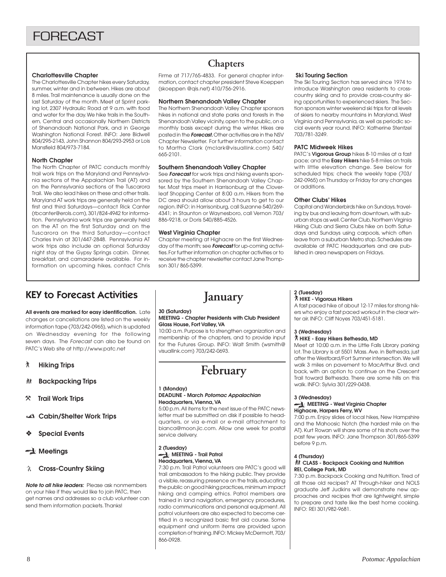#### **Charlottesville Chapter**

The Charlottesville Chapter hikes every Saturday, summer, winter and in between. Hikes are about 8 miles. Trail maintenance is usually done on the last Saturday of the month. Meet at Sprint parking lot, 2307 Hydraulic Road at 9 a.m. with food and water for the day. We hike trails in the Southern, Central and occasionally Northern Districts of Shenandoah National Park, and in George Washington National Forest. INFO: Jere Bidwell 804/295-2143, John Shannon 804/293-2953 or Lois Mansfield 804/973-7184.

#### **North Chapter**

The North Chapter of PATC conducts monthly trail work trips on the Maryland and Pennsylvania sections of the Appalachian Trail (AT) and on the Pennsylvania sections of the Tuscarora Trail. We also lead hikes on these and other trails. Maryland AT work trips are generally held on the first and third Saturdays—contact Rick Canter (rbcanter@erols.com), 301/824-4942 for information. Pennsylvania work trips are generally held on the AT on the first Saturday and on the Tuscarora on the third Saturday—contact Charles Irvin at 301/447-2848. Pennsylvania AT work trips also include an optional Saturday night stay at the Gypsy Springs cabin. Dinner, breakfast, and camaraderie available. For information on upcoming hikes, contact Chris

## **Chapters**

Firme at 717/765-4833. For general chapter information, contact chapter president Steve Koeppen (skoeppen @qis.net) 410/756-2916.

#### **Northern Shenandoah Valley Chapter**

The Northern Shenandoah Valley Chapter sponsors hikes in national and state parks and forests in the Shenandoah Valley vicinity, open to the public, on a monthly basis except during the winter. Hikes are posted in the **Forecast.** Other activities are in the NSV Chapter Newsletter. For further information contact to Martha Clark (mclark@visuallink.com) 540/ 665-2101.

#### **Southern Shenandoah Valley Chapter**

See **Forecast** for work trips and hiking events sponsored by the Southern Shenandoah Valley Chapter. Most trips meet in Harrisonburg at the Cloverleaf Shopping Center at 8:00 a.m. Hikers from the DC area should allow about 3 hours to get to our region. INFO: in Harrisonburg, call Suzanne 540/269- 4341; in Staunton or Waynesboro, call Vernon 703/ 886-9218, or Doris 540/885-4526.

#### **West Virginia Chapter**

Chapter meeting at Highacre on the first Wednesday of the month; see **Forecast** for up-coming activities. For further information on chapter activities or to receive the chapter newsletter contact Jane Thompson 301/ 865-5399.

#### **Ski Touring Section**

The Ski Touring Section has served since 1974 to introduce Washington area residents to crosscountry skiing and to provide cross-country skiing opportunities to experienced skiers. The Section sponsors winter weekend ski trips for all levels of skiers to nearby mountains in Maryland, West Virginia and Pennsylvania, as well as periodic social events year round. INFO: Katherine Stentzel 703/781-3249.

#### **PATC Midweek Hikes**

PATC's **Vigorous Group** hikes 8-10 miles at a fast pace; and the **Easy Hikers** hike 5-8 miles on trails with little elevation change. See below for scheduled trips; check the weekly tape (703/ 242-0965) on Thursday or Friday for any changes or additions.

#### **Other Clubs' Hikes**

Capital and Wanderbirds hike on Sundays, traveling by bus and leaving from downtown, with suburban stops as well. Center Club, Northern Virginia Hiking Club and Sierra Clubs hike on both Saturdays and Sundays using carpools, which often leave from a suburban Metro stop. Schedules are available at PATC Headquarters and are published in area newspapers on Fridays.

## KEY to Forecast Activities

**All events are marked for easy identification.** Late changes or cancellations are listed on the weekly information tape (703/242-0965), which is updated on Wednesday evening for the following seven days. The Forecast can also be found on PATC's Web site at http://www.patc.net

- ` **Hiking Trips**
- **然 Backpacking Trips**
- } **Trail Work Trips**
- **Cabin/Shelter Work Trips**
- ❖ **Special Events**

#### **Meetings**

#### **Cross-Country Skiing**

**Note to all hike leaders:** Please ask nonmembers on your hike if they would like to join PATC, then get names and addresses so a club volunteer can send them information packets. Thanks!

**January**

## **30 (Saturday)**

#### **MEETING - Chapter Presidents with Club President Glass House, Fort Valley, VA**

10:00 a.m. Purpose is to strengthen organization and membership of the chapters, and to provide input for the Futures Group. INFO: Walt Smith (wsmith@ visuallink.com) 703/242-0693.

## **February**

#### **1 (Monday) DEADLINE - March Potomac Appalachian Headquarters, Vienna, VA**

5:00 p.m. All items for the next issue of the PATC newsletter must be submitted on disk if possible to headquarters, or via e-mail or e-mail attachment to bianca@moon.jic.com. Allow one week for postal service delivery.

#### **2 (Tuesday) MEETING - Trail Patrol Headquarters, Vienna, VA**

7:30 p.m. Trail Patrol volunteers are PATC's good will trail ambassadors to the hiking public. They provide a visible, reassuring presence on the trails, educating the public on good hiking practices, minimum impact hiking and camping ethics. Patrol members are trained in land navigation, emergency procedures, radio communications and personal equipment. All patrol volunteers are also expected to become certified in a recognized basic first aid course. Some equipment and uniform items are provided upon completion of training. INFO: Mickey McDermott, 703/ 866-0928.

#### **2 (Tuesday)** ` **HIKE - Vigorous Hikers**

A fast paced hike of about 12-17 miles for strong hikers who enjoy a fast paced workout in the clear winter air. INFO: Cliff Noyes 703/451-5181.

#### **3 (Wednesday)**

#### ` **HIKE - Easy Hikers Bethesda, MD**

Meet at 10:00 a.m. in the Little Falls Library parking lot. The Library is at 5501 Mass. Ave. in Bethesda, just after the Westbard/Fort Sumner intersection. We will walk 3 miles on pavement to MacArthur Blvd. and back, with an option to continue on the Crescent Trail toward Bethesda. There are some hills on this walk. INFO: Sylvia 301/229-0438.

#### **3 (Wednesday)**

#### **MEETING - West Virginia Chapter Highacre, Harpers Ferry, WV**

7:00 p.m. Enjoy slides of local hikes, New Hampshire and the Mahoosic Notch (the hardest mile on the AT). Kurt Rowan will share some of his shots over the past few years. INFO: Jane Thompson 301/865-5399 before 9 p.m.

#### **4 (Thursday)** *All* CLASS - Backpack Cooking and Nutrition **REI, College Park, MD**

7:30 p.m. Backpack Cooking and Nutrition. Tired of all those old recipes? AT Through-hiker and NOLS graduate Jeff Judkins will demonstrate new approaches and recipes that are lightweight, simple to prepare and taste like the best home cooking. INFO: REI 301/982-9681.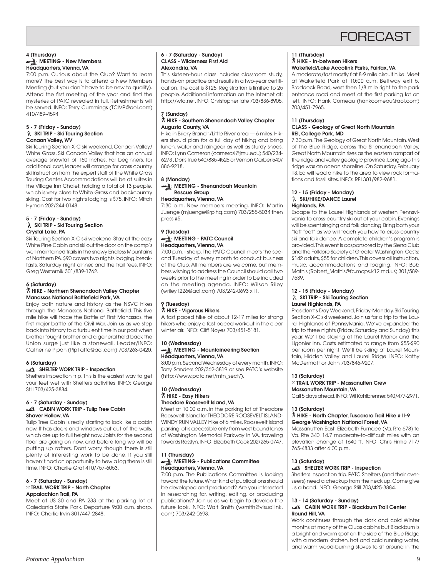## **FORFCAST**

#### **4 (Thursday) MEETING - New Members Headquarters, Vienna, VA**

7:00 p.m. Curious about the Club? Want to learn more? The best way is to attend a New Members Meeting (but you don't have to be new to qualify). Attend the first meeting of the year and find the mysteries of PATC revealed in full. Refreshments will be served. INFO: Terry Cummings (TCIVP@aol.com) 410/489-4594.

#### **5 - 7 (Friday - Sunday) SKI TRIP - Ski Touring Section Canaan Valley, WV**

Ski Touring Section X-C ski weekend. Canaan Valley/ White Grass. Ski Canaan Valley that has an annual average snowfall of 150 inches. For beginners, for additional cost, leader will arrange for cross country ski instruction from the expert staff of the White Grass Touring Center. Accommodations will be at suites in the Village Inn Chalet, holding a total of 13 people, which is very close to White Grass and backcountry skiing. Cost for two nights lodging is \$75. INFO: Mitch Hyman 202/244-0148.

#### **5 - 7 (Friday - Sunday) SKI TRIP - Ski Touring Section Crystal Lake, PA**

Ski Touring Section X-C ski weekend. Stay at the cozy White Pine Cabin and ski out the door on the camp's well-maintained trails in the snowy Endless Mountains of Northern PA. \$90 covers two nights lodging, breakfasts, Saturday night dinner, and the trail fees. INFO: Greg Westernik 301/839-1762.

#### **6 (Saturday)**

#### ` **HIKE - Northern Shenandoah Valley Chapter Manassas National Battlefield Park, VA**

Enjoy both nature and history as the NSVC hikes through the Manassas National Battlefield. This five mile hike will trace the Battle of First Manassas, the first major battle of the Civil War. Join us as we step back into history to a turbulent time in our past when brother fought brother and a general held back the Union surge just like a stonewall. Leader/INFO: Catherine Pipan (Pip1atfc@aol.com) 703/263-0420.

#### **6 (Saturday)**

#### **SHELTER WORK TRIP - Inspection**

Shelters inspection trip. This is the easiest way to get your feet wet with Shelters activities. INFO: George Still 703/425-3884.

#### **6 - 7 (Saturday - Sunday)**

#### **CABIN WORK TRIP - Tulip Tree Cabin Shaver Hollow, VA**

Tulip Tree Cabin is really starting to look like a cabin now. It has doors and windows cut out of the walls, which are up to full height now. Joists for the second floor are going on now, and before long we will be putting up rafters. Dont worry though there is still plenty of interesting work to be done. If you still haven't had an opportunity to hew a log there is still time. INFO: Charlie Graf 410/757-6053.

#### **6 - 7 (Saturday - Sunday)** } **TRAIL WORK TRIP - North Chapter Appalachian Trail, PA**

Meet at US 30 and PA 233 at the parking lot of Caledonia State Park. Departure 9:00 a.m. sharp. INFO: Charlie Irvin 301/447-2848.

#### **6 - 7 (Saturday - Sunday) CLASS - Wilderness First Aid Alexandria, VA**

This sixteen-hour class includes classroom study, hands-on practice and results in a two-year certification. The cost is \$125. Registration is limited to 25 people. Additional information on the Internet at: http://wfa.net. INFO: Christopher Tate 703/836-8905.

#### **7 (Sunday)** ` **HIKE - Southern Shenandoah Valley Chapter Augusta County, VA**

Hike in Briery Branch/Little River area — 6 miles. Hikers should plan for a full day of hiking and bring lunch, water and raingear as well as sturdy shoes. INFO: Lynn Cameron (camerosl@jmu.edu) 540/234- 6273 , Doris True 540/885-4526 or Vernon Garber 540/ 886-9218.

### **8 (Monday)**

#### **MEETING - Shenandoah Mountain Rescue Group**

**Headquarters, Vienna, VA** 7:30 p.m. New members meeting. INFO: Martin Juenge (mjuenge@rpihq.com) 703/255-5034 then press #5.

#### **9 (Tuesday) MEETING - PATC Council Headquarters, Vienna, VA**

7:00 p.m. - sharp. The PATC Council meets the second Tuesday of every month to conduct business of the Club. All members are welcome, but members wishing to address the Council should call two weeks prior to the meeting in order to be included on the meeting agenda. INFO: Wilson Riley (wriley1226@aol.com) 703/242-0693 x11.

### **9 (Tuesday)**

#### ` **HIKE - Vigorous Hikers**

A fast paced hike of about 12-17 miles for strong hikers who enjoy a fast paced workout in the clear winter air. INFO: Cliff Noyes 703/451-5181.

#### **10 (Wednesday) MEETING - Mountaineering Section Headquarters, Vienna, VA**

8:00 p.m. Second Wednesday of every month. INFO: Tony Sanders 202/362-3819 or see PATC's website (http://www.patc.net/mtn\_sect/).

## **10 (Wednesday)** ` **HIKE - Easy Hikers Theodore Roosevelt Island, VA**

Meet at 10:00 a.m. in the parking lot of Theodore Roosevelt Island for THEODORE ROOSEVELT ISLAND-WINDY RUN VALLEY hike of 6 miles. Roosevelt Island parking lot is accessible only from west bound lanes of Washington Memorial Parkway in VA, traveling towards Rosslyn. INFO: Elizabeth Cook 202/265-0747.

#### **11 (Thursday) MEETING - Publications Committee Headquarters, Vienna, VA**

7:00 p.m. The Publications Committee is looking toward the future. What kind of publications should be developed and produced? Are you interested in researching for, writing, editing, or producing publications? Join us as we begin to develop the future look. INFO: Walt Smith (wsmith@visuallink. com) 703/242-0693.

#### **11 (Thursday)**

#### ` **HIKE - In-between Hikers**

#### **Wakefield/Lake Accotink Parks, Fairfax, VA**

A moderate/fast mostly flat 8-9 mile circuit hike. Meet at Wakefield Park at 10:00 a.m. Beltway exit 5, Braddock Road, west then 1/8 mile right to the park entrance road and meet at the first parking lot on left. INFO: Hank Comeau (hankcomeau@aol.com) 703/451-7965.

#### **11 (Thursday)**

#### **CLASS - Geology of Great North Mountain REI, College Park, MD**

7:30 p.m. The Geology of Great North Mountain. West of the Blue Ridge, across the Shenandoah Valley, Great North Mountain rises as the eastern rampart of the ridge and valley geologic province. Long ago this ridge was an ocean shoreline. On Saturday, February 13, Ed will lead a hike to the area to view rock formations and fossil sites. INFO: REI 301/982-9681.

#### **12 - 15 (Friday - Monday) SKI/HIKE/DANCE Laurel Highlands, PA**

Escape to the Laurel Highlands of western Pennsylvania to cross-country ski out of your cabin. Evenings will be spent singing and folk dancing. Bring both your "left feet" as we will teach you how to cross-country ski and folk dance. A complete children's program is provided. This event is cosponsored by the Sierra Club and the Folklore Society of Greater Washington. Costs: \$142 adults, \$55 for children. This covers all instruction, music, accommodations and lodging. INFO: Bob Mathis (Robert\_Mathis@fc.mcps.k12.md.us) 301/589- 7539.

#### **12 - 15 (Friday - Monday) SKI TRIP - Ski Touring Section Laurel Highlands, PA**

President's Day Weekend, Friday-Monday. Ski Touring Section X-C ski weekend. Join us for a trip to the Laurel Highlands of Pennsylvania. We've expanded the trip to three nights (Friday, Saturday and Sunday) this year. We'll be staying at the Laurel Manor and the Ligonier Inn. Costs estimated to range from \$55-\$90 per room per night. We'll be skiing at Laurel Mountain, Hidden Valley and Laurel Ridge. INFO: Kathy McDermott or John 703/846-9207.

#### **13 (Saturday)**

#### } **TRAIL WORK TRIP - Massanutten Crew Massanutten Mountain, VA**

Call 5 days ahead. INFO: Wil Kohlbrenner, 540/477-2971.

#### **13 (Saturday)**

#### ` **HIKE - North Chapter, Tuscarora Trail Hike # II-9 George Washington National Forest, VA**

Massanutten East Elizabeth Furnace (Va. Rte 678) to Va. Rte 340. 14.7 moderate-to-difficult miles with an elevation change of 1640 ft. INFO: Chris Firme 717/ 765-4833 after 6:00 p.m.

#### **13 (Saturday)**

#### **SHELTER WORK TRIP - Inspection**

Shelters inspection trip. PATC Shelters (and their overseers) need a checkup from the neck up. Come give us a hand. INFO: George Still 703/425-3884.

#### **13 - 14 (Saturday - Sunday)**

#### **CABIN WORK TRIP - Blackburn Trail Center Round Hill, VA**

Work continues through the dark and cold Winter months at many of the Clubs cabins but Blackburn is a bright and warm spot on the side of the Blue Ridge with a modern kitchen, hot and cold running water, and warm wood-burning stoves to sit around in the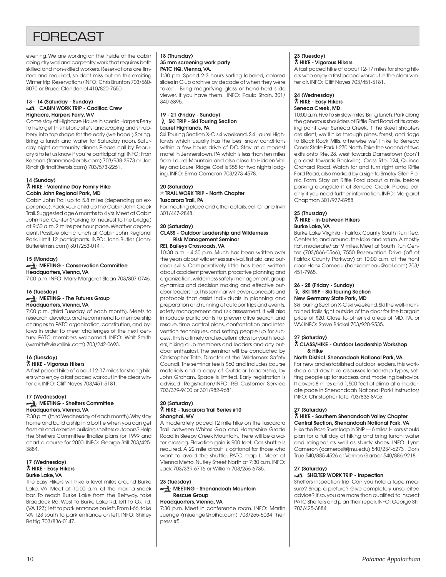## **FORECAST**

evening. We are working on the inside of the cabin doing dry wall and carpentry work that requires both skilled and non-skilled workers. Reservations are limited and required, so dont miss out on this exciting Winter trip. Reservations/INFO: Chris Brunton 703/560- 8070 or Bruce Clendaniel 410/820-7550.

#### **13 - 14 (Saturday - Sunday) CABIN WORK TRIP - Cadillac Crew Highacre, Harpers Ferry, WV**

Come stay at Highacre House in scenic Harpers Ferry to help get this historic site's landscaping and shrubbery into top shape for the early (we hope!) Spring. Bring a lunch and water for Saturday noon. Saturday night community dinner. Please call by February 5 to let us know if you're participating! INFO: Fran Keenan (frannanc@erols.com) 703/938-3973 or Jon Rindt (jkrindt@erols.com) 703/573-2261.

#### **14 (Sunday)**

` **HIKE - Valentine Day Family Hike Cabin John Regional Park, MD**

Cabin John Trail up to 5.8 miles (depending on experience). Pack your child up the Cabin John Creek Trail. Suggested age 6 months to 4 yrs. Meet at Cabin John Rec. Center (Parking lot nearest to the bridge) at 9:30 a.m. 2 miles per hour pace. Weather dependent. Possible picnic lunch at Cabin John Regional Park. Limit 12 participants. INFO: John Butler (John-Butler@msn.com) 301/263-0141.

#### **15 (Monday) MEETING - Conservation Committee Headquarters, Vienna, VA**

7:00 p.m. INFO: Mary Margaret Sloan 703/807-0746.

#### **16 (Tuesday) MEETING - The Futures Group Headquarters, Vienna, VA**

7:00 p.m. (third Tuesday of each month). Meets to research, develop, and recommend to membership changes to PATC organization, constitution, and bylaws in order to meet challenges of the next century. PATC members welcomed. INFO: Walt Smith (wsmith@visuallink.com) 703/242-0693.

#### **16 (Tuesday)**

#### ` **HIKE - Vigorous Hikers**

A fast paced hike of about 12-17 miles for strong hikers who enjoy a fast paced workout in the clear winter air. INFO: Cliff Noyes 703/451-5181.

#### **17 (Wednesday) MEETING - Shelters Committee Headquarters, Vienna, VA**

7:30 p.m. (third Wednesday of each month). Why stay home and build a ship in a bottle when you can get fresh air and exercise building shelters outdoors? Help the Shelters Committee finalize plans for 1999 and chart a course for 2000. INFO: George Still 703/425- 3884.

#### **17 (Wednesday)** ` **HIKE - Easy Hikers Burke Lake, VA**

The Easy Hikers will hike 5 level miles around Burke Lake, VA. Meet at 10:00 a.m. at the marina snack bar. To reach Burke Lake from the Beltway, take Braddock Rd. West to Burke Lake Rd, left to Ox Rd. (VA 123), left to park entrance on left. From I-66, take VA 123 south to park entrance on left. INFO: Shirley Rettig 703/836-0147.

#### **18 (Thursday) 35 mm screening work party PATC HQ, Vienna, VA.**

1:30 pm. Spend 2-3 hours sorting labeled, colored slides in Club archive by decade of when they were taken. Bring magnifying glass or hand-held slide viewer, if you have them. INFO: Paula Strain, 301/ 340-6895.

#### **19 - 21 (Friday - Sunday) SKI TRIP - Ski Touring Section Laurel Highlands, PA**

Ski Touring Section X-C ski weekend. Ski Laurel Highlands which usually has the best snow conditions within a few hours drive of DC. Stay at a modest motel in Jennerstown, PA which is less than ten miles from Laurel Mountain and also close to Hidden Valley and Laurel Ridge. Cost is \$55 for two nights lodging. INFO: Erma Cameron 703/273-4578.

#### **20 (Saturday)** } **TRAIL WORK TRIP - North Chapter Tuscarora Trail, PA**

For meeting place and other details, call Charlie Irvin 301/447-2848.

#### **20 (Saturday)**

#### **CLASS - Outdoor Leadership and Wilderness Risk Management Seminar**

#### **REI, Baileys Crossroads, VA**

10:30 a.m. - 4:30 p.m. Much has been written over the years about wilderness survival, first aid, and outdoor skills. Comparatively little has been written about accident prevention, proactive planning and organization, wilderness safety management, group dynamics and decision making and effective outdoor leadership. This seminar will cover concepts and protocols that assist individuals in planning and preparation and running of outdoor trips and events, safety management and risk assessment. It will also introduce participants to preventative search and rescue, time control plans, confrontation and intervention techniques, and setting people up for success. This is a timely and excellent class for youth leaders, hiking club members and leaders and any outdoor enthusiast. The seminar will be conducted by Christopher Tate, Director of the Wilderness Safety Council. The seminar fee is \$60 and includes course materials and a copy of Outdoor Leadership, by John Graham. Space is limited. Early registration is advised! Registration/INFO: REI Customer Service 703/379-9400 or 301/982-9681.

#### **20 (Saturday)** ` **HIKE - Tuscarora Trail Series #10 Shanghai, WV**

A moderately paced 12 mile hike on the Tuscarora Trail between Whites Gap and Hampshire Grade Road in Sleepy Creek Mountain. There will be a water crossing. Elevation gain is 900 feet. Car shuttle is required. A 22 mile circuit is optional for those who want to avoid the shuttle. PATC map L. Meet at Vienna Metro, Nutley Street North at 7:30 a.m. INFO: Jack 703/339-6716 or William 703/256-6735.

#### **23 (Tuesday) MEETING - Shenandoah Mountain Rescue Group Headquarters, Vienna, VA**

7:30 p.m. Meet in conference room. INFO: Martin Juenge (mjuenge@rpihq.com) 703/255-5034 then press #5.

#### **23 (Tuesday)** ` **HIKE - Vigorous Hikers**

A fast paced hike of about 12-17 miles for strong hikers who enjoy a fast paced workout in the clear winter air. INFO: Cliff Noyes 703/451-5181.

#### **24 (Wednesday)** ` **HIKE - Easy Hikers Seneca Creek, MD**

10:00 a.m. Five to six slow miles. Bring lunch. Park along the generous shoulders of Riffle Ford Road at its crossing point over Seneca Creek. If the skeet shooters are silent, we'll hike through pines, forest, and ridge to Black Rock Mills, otherwise we'll hike to Seneca Creek State Park. I-270 North. Take the second of two exits onto Rte. 28, west towards Darnestown (don't go east towards Rockville). Cross Rte. 124, Quince Orchard Road. Watch for and turn right onto Riffle Ford Road, also marked by a sign to Smoky Glen Picnic Farm. Stay on Riffle Ford about a mile, before parking alongside it at Seneca Creek. Please call only if you need further information. INFO: Margaret Chapman 301/977-8988.

#### **25 (Thursday)** ` **HIKE - In-between Hikers Burke Lake, VA**

Burke Lake Virginia - Fairfax County South Run Rec. Center to, and around, the lake and return. A mostly flat, moderate/fast 9 miles. Meet at South Run Center (703/866-0566), 7550 Reservation Drive (off of Fairfax County Parkway) at 10:00 a.m. at the front door. Hank Comeau (hankcomeau@aol.com) 703/ 451-7965.

#### **26 - 28 (Friday - Sunday) SKI TRIP - Ski Touring Section New Germany State Park, MD**

Ski Touring Section X-C ski weekend. Ski the well-maintained trails right outside of the door for the bargain price of \$20. Close to other ski areas of MD, PA, or WV. INFO: Steve Brickel 703/920-9535.

#### **27 (Saturday)**

#### ` **CLASS/HIKE - Outdoor Leadership Workshop & Hike**

#### **North District, Shenandoah National Park, VA**

For new and established outdoor leaders, this workshop and day hike discusses leadership types, setting people up for success, and modeling behavior. It covers 8 miles and 1,500 feet of climb at a moderate pace in Shenandoah National Park! Instructor/ INFO: Christopher Tate 703/836-8905.

#### **27 (Saturday)**

#### ` **HIKE - Southern Shenandoah Valley Chapter Central Section, Shenandoah National Park, VA**

Hike the Rose River loop in SNP — 6 miles. Hikers should plan for a full day of hiking and bring lunch, water and raingear as well as sturdy shoes. INFO: Lynn Cameron (camerosl@jmu.edu) 540/234-6273 , Doris True 540/885-4526 or Vernon Garber 540/886-9218.

#### **27 (Saturday)**

#### **SHELTER WORK TRIP - Inspection**

Shelters inspection trip. Can you hold a tape measure? Snap a picture? Give completely unsolicited advice? If so, you are more than qualified to inspect PATC Shelters and plan their repair. INFO: George Still 703/425-3884.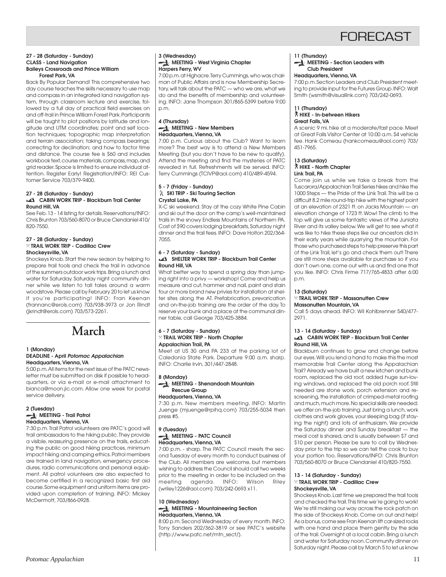

#### **27 - 28 (Saturday - Sunday) CLASS - Land Navigation Baileys Crossroads and Prince William Forest Park, VA**

Back By Popular Demand! This comprehensive two day course teaches the skills necessary to use map and compass in an integrated land navigation system, through classroom lecture and exercise, followed by a full day of practical field exercises on and off-trail in Prince William Forest Park. Participants will be taught to plot positions by latitude and longitude and UTM coordinates; point and self location techniques; topographic map interpretation and terrain association; taking compass bearings; correcting for declination; and how to factor time and distance. The course fee is \$60 and includes workbook text, course materials, compass, map, and grid reader. Space is limited to ensure individual attention. Register Early! Registration/INFO: REI Customer Service 703/379-9400.

#### **27 - 28 (Saturday - Sunday) CABIN WORK TRIP - Blackburn Trail Center Round Hill, VA**

See Feb. 13 - 14 listing for details. Reservations/INFO: Chris Brunton 703/560-8070 or Bruce Clendaniel 410/ 820-7550.

#### **27 - 28 (Saturday - Sunday)** } **TRAIL WORK TRIP - Cadillac Crew Shockeysville, VA**

Shockeys Knob. Start the new season by helping to prepare trail tools and check the trail in advance of the summers outdoor work trips. Bring a lunch and water for Saturday. Saturday night community dinner while we listen to tall tales around a warm woodstove. Please call by February 20 to let us know if you're participating! INFO: Fran Keenan (frannanc@erols.com) 703/938-3973 or Jon Rindt (jkrindt@erols.com) 703/573-2261.

 **March**

#### **1 (Monday) DEADLINE - April Potomac Appalachian Headquarters, Vienna, VA**

5:00 p.m. All items for the next issue of the PATC newsletter must be submitted on disk if possible to headquarters, or via e-mail or e-mail attachment to bianca@moon.jic.com. Allow one week for postal service delivery.

#### **2 (Tuesday) MEETING - Trail Patrol Headquarters, Vienna, VA**

7:30 p.m. Trail Patrol volunteers are PATC's good will trail ambassadors to the hiking public. They provide a visible, reassuring presence on the trails, educating the public on good hiking practices, minimum impact hiking and camping ethics. Patrol members are trained in land navigation, emergency procedures, radio communications and personal equipment. All patrol volunteers are also expected to become certified in a recognized basic first aid course. Some equipment and uniform items are provided upon completion of training. INFO: Mickey McDermott, 703/866-0928.

#### **3 (Wednesday) MEETING - West Virginia Chapter Harpers Ferry, WV**

7:00 p.m. at Highacre. Terry Cummings, who was chairman of Public Affairs and is now Membership Secretary, will talk about the PATC — who we are, what we do and the benefits of membership and volunteering. INFO: Jane Thompson 301/865-5399 before 9:00 p.m.

#### **4 (Thursday) MEETING - New Members Headquarters, Vienna, VA**

7:00 p.m. Curious about the Club? Want to learn more? The best way is to attend a New Members Meeting (but you don't have to be new to qualify). Attend the meeting and find the mysteries of PATC revealed in full. Refreshments will be served. INFO: Terry Cummings (TCIVP@aol.com) 410/489-4594.

#### **5 - 7 (Friday - Sunday) SKI TRIP - Ski Touring Section Crystal Lake, PA**

X-C ski weekend. Stay at the cozy White Pine Cabin and ski out the door on the camp's well-maintained trails in the snowy Endless Mountains of Northern PA. Cost of \$90 covers lodging breakfasts, Saturday night dinner and the trail fees. INFO: Dave Holton 202/364- 7055.

#### **6 - 7 (Saturday - Sunday) SHELTER WORK TRIP - Blackburn Trail Center Round Hill, VA**

What better way to spend a spring day than jumping right into a privy — workshop! Come and help us measure and cut, hammer and nail, paint and stain four or more brand new privies for installation at shelter sites along the AT. Prefabrication, prevarication and on-the-job training are the order of the day. To reserve your bunk and a place at the communal dinner table, call George 703/425-3884.

#### **6 - 7 (Saturday - Sunday)** } **TRAIL WORK TRIP - North Chapter Appalachian Trail, PA**

Meet at US 30 and PA 233 at the parking lot of Caledonia State Park. Departure 9:00 a.m. sharp. INFO: Charlie Irvin, 301/447-2848.

#### **8 (Monday)**

**MEETING - Shenandoah Mountain Rescue Group**

#### **Headquarters, Vienna, VA**

7:30 p.m. New members meeting. INFO: Martin Juenge (mjuenge@rpihq.com) 703/255-5034 then press #5.

#### **9 (Tuesday) MEETING - PATC Council Headquarters, Vienna, VA**

7:00 p.m. - sharp. The PATC Council meets the second Tuesday of every month to conduct business of the Club. All members are welcome, but members wishing to address the Council should call two weeks prior to the meeting in order to be included on the meeting agenda. INFO: Wilson Riley (wriley1226@aol.com) 703/242-0693 x11.

#### **10 (Wednesday) MEETING - Mountaineering Section Headquarters, Vienna, VA**

8:00 p.m. Second Wednesday of every month. INFO: Tony Sanders 202/362-3819 or see PATC's website (http://www.patc.net/mtn\_sect/).

#### **11 (Thursday)**

**MEETING - Section Leaders with Club President**

#### **Headquarters, Vienna, VA**

7:00 p.m. Section Leaders and Club President meeting to provide input for the Futures Group. INFO: Walt Smith (wsmith@visuallink.com) 703/242-0693.

#### **11 (Thursday)** ` **HIKE - In-between Hikers Great Falls, VA**

A scenic 9 mi. hike at a moderate/fast pace. Meet at Great Falls Visitor Center at 10:00 a.m. \$4 vehicle fee. Hank Comeau (hankcomeau@aol.com) 703/ 451-7965.

#### **13 (Saturday)** ` **HIKE - North Chapter Link Trail, PA**

Come join us while we take a break from the Tuscarora/Appalachian Trail Series hikes and hike the 1000 Steps — the Pride of the Link Trail. This will be a difficult 8.2 mile round-trip hike with the highest point at an elevation of 2321 ft. on Jacks Mountain — an elevation change of 1723 ft. Wow! The climb to the top will give us some fantastic views of the Juniata River and its valley below. We will get to see what it was like to hike these steps like our ancestors did in their early years while quarrying the mountain. For those who purchased steps to help preserve this part of the Link Trail, let's go and check them out! There are still more steps available for purchase so if you don't own one, come out with us and find one that you like. INFO: Chris Firme 717/765-4833 after 6:00 p.m.

#### **13 (Saturday)**

#### } **TRAIL WORK TRIP - Massanutten Crew Massanutten Mountain, VA**

Call 5 days ahead. INFO: Wil Kohlbrenner 540/477- 2971.

#### **13 - 14 (Saturday - Sunday)**

#### **CABIN WORK TRIP - Blackburn Trail Center Round Hill, VA**

Blackburn continues to grow and change before our eyes. Will you lend a hand to make this the most memorable Trail Center along the Appalachian Trail? Already we have built a new kitchen and bunk room, replaced the old roof, added huge sun-loving windows, and replaced the old porch roof. Still needed are stone work, porch extension and rescreening, the installation of crimped-metal roofing and much, much more. No special skills are needed; we offer on-the-job training. Just bring a lunch, work clothes and work gloves, your sleeping bag (if staying the night) and lots of enthusiasm. We provide the Saturday dinner and Sunday breakfast — the meal cost is shared, and is usually between \$7 and \$10 per person. Please be sure to call by Wednesday prior to the trip so we can tell the cook to buy your portion too. Reservations/INFO: Chris Brunton 703/560-8070 or Bruce Clendaniel 410/820-7550.

#### **13 - 14 (Saturday - Sunday)** } **TRAIL WORK TRIP - Cadillac Crew Shockeysville, VA**

Shockeys Knob. Last time we prepared the trail tools and checked the trail. This time we're going to work! We're still making our way across the rock patch on the side of Shockeys Knob. Come on out and help! As a bonus, come see Fran Keenan lift car-sized rocks with one hand and place them gently by the side of the trail. Overnight at a local cabin. Bring a lunch and water for Saturday noon. Community dinner on Saturday night. Please call by March 5 to let us know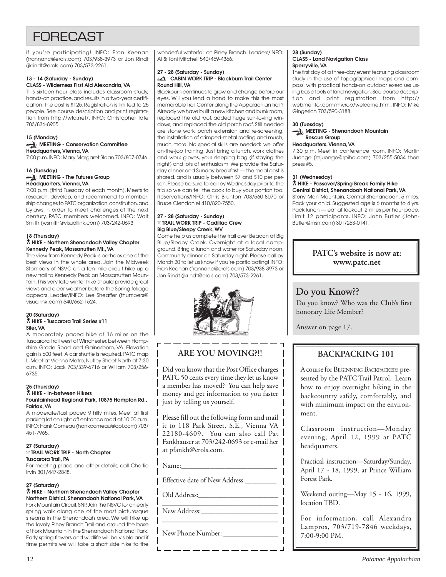## **FORFCAST**

if you're participating! INFO: Fran Keenan (frannanc@erols.com) 703/938-3973 or Jon Rindt (jkrindt@erols.com) 703/573-2261.

#### **13 - 14 (Saturday - Sunday) CLASS - Wilderness First Aid Alexandria, VA**

This sixteen-hour class includes classroom study, hands-on practice, and results in a two-year certification. The cost is \$125. Registration is limited to 25 people. See course description and print registration from http://wfa.net/. INFO: Christopher Tate 703/836-8905.

#### **15 (Monday) MEETING - Conservation Committee Headquarters, Vienna, VA**

7:00 p.m. INFO: Mary Margaret Sloan 703/807-0746.

#### **16 (Tuesday) MEETING - The Futures Group Headquarters, Vienna, VA**

7:00 p.m. (third Tuesday of each month). Meets to research, develop, and recommend to membership changes to PATC organization, constitution, and bylaws in order to meet challenges of the next century. PATC members welcomed. INFO: Walt Smith (wsmith@visuallink.com) 703/242-0693.

#### **18 (Thursday)**

#### ` **HIKE - Northern Shenandoah Valley Chapter Kennedy Peak, Massanutten Mt., VA**

The view from Kennedy Peak is perhaps one of the best views in the whole area. Join the Midweek Stompers of NSVC on a ten-mile circuit hike up a new trail to Kennedy Peak on Massanutten Mountain. This very late winter hike should provide great views and clear weather before the Spring foliage appears. Leader/INFO: Lee Sheaffer (thumpers@ visuallink.com) 540/662-1524.

#### **20 (Saturday)** ` **HIKE - Tuscarora Trail Series #11 Siler, VA**

A moderately paced hike of 16 miles on the Tuscarora Trail west of Winchester, between Hampshire Grade Road and Gainesboro, VA. Elevation gain is 600 feet. A car shuttle is required. PATC map L. Meet at Vienna Metro, Nutley Street North at 7:30 a.m. INFO: Jack 703/339-6716 or William 703/256- 6735.

#### **25 (Thursday)**

#### ` **HIKE - In-between Hikers Fountainhead Regional Park, 10875 Hampton Rd., Fairfax, VA**

A moderate/fast paced 9 hilly miles. Meet at first parking lot on right off entrance road at 10:00 a.m. INFO: Hank Comeau (hankcomeau@aol.com) 703/ 451-7965.

#### **27 (Saturday)**

#### } **TRAIL WORK TRIP - North Chapter Tuscarora Trail, PA**

For meeting place and other details, call Charlie Irvin 301/447-2848.

#### **27 (Saturday)**

#### ` **HIKE - Northern Shenandoah Valley Chapter Northern District, Shenandoah National Park, VA**

Fork Mountain Circuit, SNP. Join the NSVC for an early spring walk along one of the most picturesque streams in the Shenandoah area. We will hike up the lovely Piney Branch Trail and around the base of Fork Mountain in the Shenandoah National Park. Early spring flowers and wildlife will be visible and if time permits we will take a short side hike to the

wonderful waterfall on Piney Branch. Leaders/INFO: Al & Toni Mitchell 540/459-4366.

#### **27 - 28 (Saturday - Sunday) CABIN WORK TRIP - Blackburn Trail Center Round Hill, VA**

Blackburn continues to grow and change before our eyes. Will you lend a hand to make this the most memorable Trail Center along the Appalachian Trail? Already we have built a new kitchen and bunk room, replaced the old roof, added huge sun-loving windows, and replaced the old porch roof. Still needed are stone work, porch extension and re-screening, the installation of crimped-metal roofing and much, much more. No special skills are needed; we offer on-the-job training. Just bring a lunch, work clothes and work gloves, your sleeping bag (if staying the night) and lots of enthusiasm. We provide the Saturday dinner and Sunday breakfast — the meal cost is shared, and is usually between \$7 and \$10 per person. Please be sure to call by Wednesday prior to the trip so we can tell the cook to buy your portion too. Reservations/INFO: Chris Brunton 703/560-8070 or Bruce Clendaniel 410/820-7550.

#### **27 - 28 (Saturday - Sunday)** } **TRAIL WORK TRIP - Cadillac Crew Big Blue/Sleepy Creek, WV**

Come help us complete the trail over Beacon at Big Blue/Sleepy Creek. Overnight at a local campground. Bring a lunch and water for Saturday noon. Community dinner on Saturday night. Please call by March 20 to let us know if you're participating! INFO: Fran Keenan (frannanc@erols.com) 703/938-3973 or Jon Rindt (jkrindt@erols.com) 703/573-2261.



## **ARE YOU MOVING?!!**

Did you know that the Post Office charges PATC 50 cents every time they let us know a member has moved? You can help save money and get information to you faster just by telling us yourself.

Please fill out the following form and mail it to 118 Park Street, S.E., Vienna VA 22180-4609. You can also call Pat Fankhauser at 703/242-0693 or e-mail her at pfankh@erols.com.

\_\_\_\_\_\_\_\_\_\_\_\_\_\_\_\_\_\_\_\_\_\_\_\_\_\_\_\_\_\_\_\_

 $Name:$ 

Effective date of New Address:\_\_\_\_\_\_\_\_\_

Old Address:\_\_\_\_\_\_\_\_\_\_\_\_\_\_\_\_\_\_\_\_\_\_

\_\_\_\_\_\_\_\_\_\_\_\_\_\_\_\_\_\_\_\_\_\_\_\_\_\_\_\_\_\_\_\_ New Address:

New Phone Number: \_\_\_\_\_\_\_\_\_\_\_\_\_\_\_

#### **28 (Sunday) CLASS - Land Navigation Class Sperryville, VA**

The first day of a three-day event featuring classroom study in the use of topographical maps and compass, with practical hands-on outdoor exercises using basic tools of land navigation. See course description and print registration from http:// webmentor.com/mwrop/welcome.html. INFO: Mike Gingerich 703/590-3188.

#### **30 (Tuesday)**

#### **MEETING - Shenandoah Mountain Rescue Group**

### **Headquarters, Vienna, VA**

7:30 p.m. Meet in conference room. INFO: Martin Juenge (mjuenge@rpihq.com) 703/255-5034 then press #5.

#### **31 (Wednesday)**

#### ` **HIKE - Passover/Spring Break Family Hike Central District, Shenandoah National Park, VA**

Stony Man Mountain, Central Shenandoah. 5 miles. Pack your child. Suggested age is 6 months to 4 yrs. Pack lunch — eat at lookout. 2 miles per hour pace. Limit 12 participants. INFO: John Butler (John-Butler@msn.com) 301/263-0141.

### **PATC's website is now at: www.patc.net**

## **Do you Know??**

Do you know? Who was the Club's first honorary Life Member?

Answer on page 17.

## **BACKPACKING 101**

A course for BEGINNING BACKPACKERS presented by the PATC Trail Patrol. Learn how to enjoy overnight hiking in the backcountry safely, comfortably, and with minimum impact on the environment.

Classroom instruction—Monday evening, April 12, 1999 at PATC headquarters.

Practical instruction—Saturday/Sunday, April 17 - 18, 1999, at Prince William Forest Park.

Weekend outing—May 15 - 16, 1999, location TBD.

For information, call Alexandra Lampros, 703/719-7846 weekdays, 7:00-9:00 PM.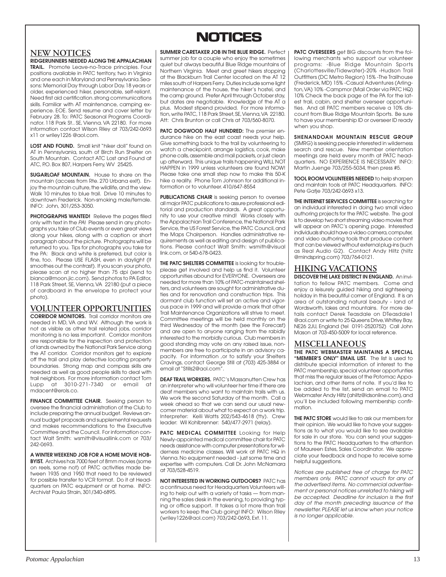## **NOTICES NOTICES**

### **NEW NOTICES**

**RIDGERUNNERS NEEDED ALONG THE APPALACHIAN TRAIL.** Promote Leave-no-Trace principles. Four positions available in PATC territory, two in Virginia and one each in Maryland and Pennsylvania. Seasons: Memorial Day through Labor Day. 18 years or older, experienced hiker, personable, self-reliant. Need first aid certification. strong communications skills. Familiar with AT maintenance, camping experience. EOE. Send resume and cover letter by February 28. To: PATC Seasonal Programs Coordinator. 118 Park St.. SE, Vienna. VA 22180. For more information contact Wilson Riley at 703/242-0693 x11 or wriley1226 @aol.com.

LOST AND FOUND. Small knit "hiker doll" found on AT in Pennsylvania, south of Birch Run Shelter on South Mountain. Contact ATC Lost and Found at ATC, P.O. Box 807, Harpers Ferry, WV 25425.

**SUGARLOAF MOUNTAIN.** House to share on the mountain (access from Rte. 270 Urbana exit). Enjoy the mountain culture, the wildlife, and the view. Walk 10 minutes to blue trail. Drive 10 minutes to downtown Frederick. Non-smoking male/female. INFO: John, 301/253-3050.

**PHOTOGRAPHS WANTED!** Relieve the pages filled only with text in the PA! Please send in any photographs you take of Club events or even great views along your hikes, along with a caption or short paragraph about the picture. Photographs will be returned to you. Tips for photographs you take for the PA: Black and white is preferred, but color is fine, too. Please USE FLASH, even in daylight (it smoothes out the contrast). If you scan your photo, please scan at no higher than 75 dpi (send to bianca@moon.jic.com). Send photos to PA Editor, 118 Park Street, SE, Vienna, VA 22180 (put a piece of cardboard in the envelope to protect your photo).

### **VOLUNTEER OPPORTUNITIES**

**CORRIDOR MONITORS.** Trail corridor monitors are needed in MD, VA and WV. Although the work is not as visible as other trail related jobs, corridor monitoring is no less important. Corridor monitors are responsible for the inspection and protection of lands owned by the National Park Service along the AT corridor. Corridor monitors get to explore off the trail and play detective locating property boundaries. Strong map and compass skills are needed as well as good people skills to deal with trail neighbors. For more information contact Tom Lupp at 3010-271-7340 or email at mdacent@erols.co.

**FINANCE COMMITTEE CHAIR.** Seeking person to oversee the financial administration of the Club to include preparing the annual budget. Reviews annual budget proposals and supplemental requests and makes recommendations to the Executive Committee and the Council. For information contact Walt Smith: wsmith@visuallink.com or 703/ 242-0693.

**A WINTER WEEKEND JOB FOR A HOME MOVIE HOB-BYIST.** Archives has 7000 feet of 8mm movies (some on reels, some not) of PATC activities made between 1935 and 1950 that need to be reviewed for possible transfer to VCR format. Do it at Headquarters on PATC equipment or at home. INFO: Archivist Paula Strain, 301/340-6895.

#### **SUMMER CARETAKER JOB IN THE BLUE RIDGE.** Perfect

summer job for a couple who enjoy the sometimes quiet but always beautiful Blue Ridge mountains of Northern Virginia. Meet and greet hikers stopping at the Blackburn Trail Center located on the AT 12 miles south of Harpers Ferry. Duties include some light maintenance of the house, the hiker's hostel, and the camp ground. Prefer April through October stay, but dates are negotiable. Knowledge of the AT a plus. Modest stipend provided. For more information, write PATC, 118 Park Street, SE, Vienna, VA 22180. Att: Chris Brunton or call Chris at 703/560-8070.

**PATC DOGWOOD HALF HUNDRED:** The premier endurance hike on the east coast needs your help. Give something back to the trail by volunteering to watch a checkpoint, arrange logistics, cook, make phone calls, assemble and mail packets, or just clean up afterward. This unique trails happening WILL NOT HAPPEN in 1999 unless volunteers are found NOW! Please take one small step now to make this 50-K hike a reality. Phone Tom Johnson for additional information or to volunteer. 410/647-8554

**PUBLICATIONS CHAIR** is seeking person to oversee all major PATC publications to assure professional editorial and production standards. A great opportunity to use your creative mind! Works closely with the Appalachian Trail Conference, the National Park Service, the US Forest Service, the PATC Council, and the Maps Chairperson. Handles administrative requirements as well as editing and design of publications. Please contact Walt Smith: wsmith@visual link.com, or 540-678-0423.

**THE PATC SHELTERS COMMITTEE** is looking for troubleplease get involved and help us find it. Volunteer opportunities abound for EVERYONE. Overseers are needed for more than 10% of PATC-maintained shelters, and volunteers are sought for administrative duties and for renovation and construction trips. This dormant club function will set an active and vigorous pace in 1999 and will provide a mark that other Trail Maintenance Organizations will strive to meet. Committee meetings will be held monthly on the third Wednesday of the month (see the Forecast) and are open to anyone ranging from the rabidly interested to the morbidly curious. Club members in good standing may vote on any raised issue, nonmembers are free to participate in an advisory capacity. For information ,or to satisfy your Shelters Cravings, contact George Still at (703) 425-3884 or email at "Stills2@aol.com"

**DEAF TRAIL WORKERS.** PATC's Massanutten Crew has an interpreter who will volunteer her time if there are deaf members who want to maintain trails with us. We work the second Saturday of the month. Call a week ahead so that we can send our usual newcomer material about what to expect on a work trip. Interpreter: Kelli Watts 202/543-4618 (tty). Crew leader: Wil Kohlbrenner: 540/477-2971 (relay).

**PATC MEDICAL COMMITTEE** Looking for Help Newly-appointed medical committee chair for PATC needs assistance with computer presentations for wilderness medicine classes. Will work at PATC HQ in Vienna. No equipment needed - just some time and expertise with computers. Call Dr. John McNamara at 703/528-4519.

**NOT INTERESTED IN WORKING OUTDOORS?** PATC has a continuous need for Headquarters Volunteers willing to help out with a variety of tasks — from manning the sales desk in the evening, to providing typing or office support. It takes a lot more than trail workers to keep the Club going! INFO: Wilson Riley (wriley1226@aol.com) 703/242-0693, Ext. 11.

**PATC OVERSEERS** get BIG discounts from the following merchants who support our volunteer programs: -Blue Ridge Mountain Sports (Charlottesville/Tidewater)-20% -Hudson Trail Outfitters (DC Metro Region) 15% -The Trailhouse (Frederick, MD) 15% -Casual Adventures (Arlington, VA) 10% -Campmor (Mail Order via PATC HQ) 10% Check the back page of the PA for the latest trail, cabin, and shelter overseer opportunities. And all PATC members receive a 10% discount from Blue Ridge Mountain Sports. Be sure to have your membership ID or overseer ID ready when you shop.

**SHENANDOAH MOUNTAIN RESCUE GROUP** (SMRG) is seeking people interested in wilderness search and rescue. New member orientation meetings are held every month at PATC headquarters. NO EXPERIENCE IS NECESSARY. INFO: Martin Juenge 703/255-5034, then press #5.

**TOOL ROOM VOLUNTEERS NEEDED** to help sharpen and maintain tools at PATC Headquarters. INFO: Pete Gatie 703/242-0693 x13.

**THE INTERNET SERVICES COMMITTEE** is searching for an individual interested in doing two small video authoring projects for the PATC website. The goal is to develop two short streaming video movies that will appear on PATC's opening page. Interested individuals should have a video camera, computer, and video authoring tools that produce content that can be viewed without external plug-ins (such as Real Audio G2). Contact Andy Hiltz (hiltz @mindspring.com) 703/764-0121.

### **HIKING VACATIONS**

**DISCOVER THE LAKE DISTRICT IN ENGLAND.** An invitation to fellow PATC members. Come and enjoy a leisurely guided hiking and sightseeing holiday in this beautiful corner of England. It is an area of outstanding natural beauty - land of Wordsworth, lakes and mountains. For more details contact Derek Teasdale on DTeasdale1 @aol.com or write to 25 Queens Drive, Whitley Bay, NE26 2JU, England (tel 0191-2520752) Call John Mason at 703-450-5009 for local reference.

### **MISCELLANEOUS THE PATC WEBMASTER MAINTAINS A SPECIAL**

**"MEMBER'S ONLY" EMAIL LIST.** The list is used to distribute special information of interest to the PATC membership, special volunteer opportunties that miss the regular issues of the Potomac Appalachian, and other items of note. If you'd like to be added to the list, send an email to PATC Webmaster Andy Hiltz (ahiltz@idsonline.com), and you'll be included following membership confirmation.

**THE PATC STORE** would like to ask our members for their opinion. We would like to have your suggestions as to what you would like to see available for sale in our store. You can send your suggestions to the PATC Headquarters to the attention of Maureen Estes, Sales Coordinator. We appreciate your feedback and hope to receive some helpful suggestions.

Notices are published free of charge for PATC members only. PATC cannot vouch for any of the advertised items. No commercial advertisement or personal notices unrelated to hiking will be accepted. Deadline for inclusion is the first day of the month preceding issuance of the newsletter. PLEASE let us know when your notice is no longer applicable.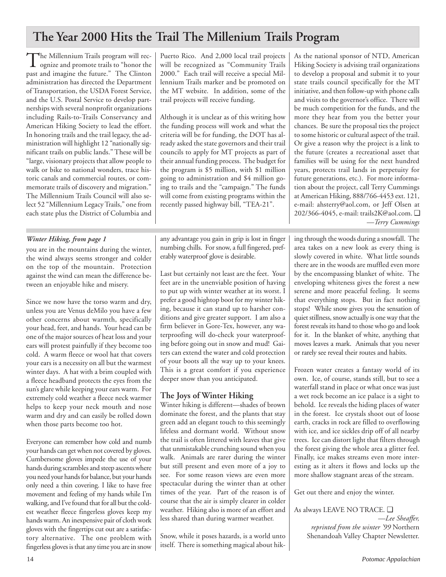## **The Year 2000 Hits the Trail The Millenium Trails Program**

The Millennium Trails program will recognize and promote trails to "honor the past and imagine the future." The Clinton administration has directed the Department of Transportation, the USDA Forest Service, and the U.S. Postal Service to develop partnerships with several nonprofit organizations including Rails-to-Trails Conservancy and American Hiking Society to lead the effort. In honoring trails and the trail legacy, the administration will highlight 12 "nationally significant trails on public lands." These will be "large, visionary projects that allow people to walk or bike to national wonders, trace historic canals and commercial routes, or commemorate trails of discovery and migration." The Millennium Trails Council will also select 52 "Millennium Legacy Trails," one from each state plus the District of Columbia and

### *Winter Hiking, from page 1*

you are in the mountains during the winter, the wind always seems stronger and colder on the top of the mountain. Protection against the wind can mean the difference between an enjoyable hike and misery.

Since we now have the torso warm and dry, unless you are Venus deMilo you have a few other concerns about warmth, specifically your head, feet, and hands. Your head can be one of the major sources of heat loss and your ears will protest painfully if they become too cold. A warm fleece or wool hat that covers your ears is a necessity on all but the warmest winter days. A hat with a brim coupled with a fleece headband protects the eyes from the sun's glare while keeping your ears warm. For extremely cold weather a fleece neck warmer helps to keep your neck mouth and nose warm and dry and can easily be rolled down when those parts become too hot.

Everyone can remember how cold and numb your hands can get when not covered by gloves. Cumbersome gloves impede the use of your hands during scrambles and steep ascents where you need your hands for balance, but your hands only need a thin covering. I like to have free movement and feeling of my hands while I'm walking, and I've found that for all but the coldest weather fleece fingerless gloves keep my hands warm. An inexpensive pair of cloth work gloves with the fingertips cut out are a satisfactory alternative. The one problem with fingerless gloves is that any time you are in snow

Puerto Rico. And 2,000 local trail projects will be recognized as "Community Trails 2000." Each trail will receive a special Millennium Trails marker and be promoted on the MT website. In addition, some of the trail projects will receive funding.

Although it is unclear as of this writing how the funding process will work and what the criteria will be for funding, the DOT has already asked the state governors and their trail councils to apply for MT projects as part of their annual funding process. The budget for the program is \$5 million, with \$1 million going to administration and \$4 million going to trails and the "campaign." The funds will come from existing programs within the recently passed highway bill, "TEA-21".

any advantage you gain in grip is lost in finger numbing chills. For snow, a full fingered, preferably waterproof glove is desirable.

Last but certainly not least are the feet. Your feet are in the unenviable position of having to put up with winter weather at its worst. I prefer a good hightop boot for my winter hiking, because it can stand up to harsher conditions and give greater support. I am also a firm believer in Gore-Tex, however, any waterproofing will do-check your waterproofing before going out in snow and mud! Gaiters can extend the water and cold protection of your boots all the way up to your knees. This is a great comfort if you experience deeper snow than you anticipated.

## **The Joys of Winter Hiking**

Winter hiking is different—shades of brown dominate the forest, and the plants that stay green add an elegant touch to this seemingly lifeless and dormant world. Without snow the trail is often littered with leaves that give that unmistakable crunching sound when you walk. Animals are rarer during the winter but still present and even more of a joy to see. For some reason views are even more spectacular during the winter than at other times of the year. Part of the reason is of course that the air is simply clearer in colder weather. Hiking also is more of an effort and less shared than during warmer weather.

Snow, while it poses hazards, is a world unto itself. There is something magical about hikAs the national sponsor of NTD, American Hiking Society is advising trail organizations to develop a proposal and submit it to your state trails council specifically for the MT initiative, and then follow-up with phone calls and visits to the governor's office. There will be much competition for the funds, and the more they hear from you the better your chances. Be sure the proposal ties the project to some historic or cultural aspect of the trail. Or give a reason why the project is a link to the future (creates a recreational asset that families will be using for the next hundred years, protects trail lands in perpetuity for future generations, etc.). For more information about the project, call Terry Cummings at American Hiking, 888/766-4453 ext. 121, e-mail: ahsterry@aol.com, or Jeff Olsen at 202/366-4045, e-mail: trails2K@aol.com. ❑ *—Terry Cummings*

ing through the woods during a snowfall. The area takes on a new look as every thing is slowly covered in white. What little sounds there are in the woods are muffled even more by the encompassing blanket of white. The enveloping whiteness gives the forest a new serene and more peaceful feeling. It seems that everything stops. But in fact nothing stops! While snow gives you the sensation of quiet stillness, snow actually is one way that the forest reveals its hand to those who go and look for it. In the blanket of white, anything that moves leaves a mark. Animals that you never or rarely see reveal their routes and habits.

Frozen water creates a fantasy world of its own. Ice, of course, stands still, but to see a waterfall stand in place or what once was just a wet rock become an ice palace is a sight to behold. Ice reveals the hiding places of water in the forest. Ice crystals shoot out of loose earth, cracks in rock are filled to overflowing with ice, and ice sickles drip off of all nearby trees. Ice can distort light that filters through the forest giving the whole area a glitter feel. Finally, ice makes streams even more interesting as it alters it flows and locks up the more shallow stagnant areas of the stream.

Get out there and enjoy the winter.

As always LEAVE NO TRACE. ❑ *—Lee Sheaffer, reprinted from the winter '99* Northern Shenandoah Valley Chapter Newsletter.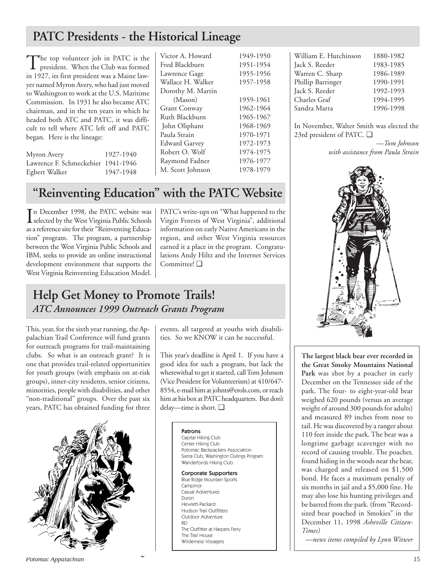## **PATC Presidents - the Historical Lineage**

The top volunteer job in PATC is the president. When the Club was formed in 1927, its first president was a Maine lawyer named Myron Avery, who had just moved to Washington to work at the U.S. Maritime Commission. In 1931 he also became ATC chairman, and in the ten years in which he headed both ATC and PATC, it was difficult to tell where ATC left off and PATC began. Here is the lineage:

Myron Avery 1927-1940 Lawrence F. Schmeckebier 1941-1946 Egbert Walker 1947-1948

Victor A. Howard 1949-1950 Fred Blackburn Lawrence Gage Wallace H. Walker Dorothy M. Martin  $(Mason)$ Grant Conway Ruth Blackburn John Oliphant Paula Strain Edward Garvey Robert O. Wolf Raymond Fadner M. Scott Johnson 1978-1979

| 1949-1990 |
|-----------|
| 1951-1954 |
| 1955-1956 |
| 1957-1958 |
|           |
| 1959-1961 |
| 1962-1964 |
| 1965-1967 |
| 1968-1969 |
| 1970-1971 |
| 1972-1973 |
| 1974-1975 |
| 1976-1977 |
|           |

## **"Reinventing Education" with the PATC Website**

In December 1998, the PATC website was<br>selected by the West Virginia Public Schools selected by the West Virginia Public Schools as a reference site for their "Reinventing Education" program. The program, a partnership between the West Virginia Public Schools and IBM, seeks to provide an online instructional development environment that supports the West Virginia Reinventing Education Model. PATC's write-ups on "What happened to the Virgin Forests of West Virginia", additional information on early Native Americans in the region, and other West Virginia resources earned it a place in the program. Congratulations Andy Hiltz and the Internet Services Committee! ❑

## **Help Get Money to Promote Trails!** *ATC Announces 1999 Outreach Grants Program*

This, year, for the sixth year running, the Appalachian Trail Conference will fund grants for outreach programs for trail-maintaining clubs. So what is an outreach grant? It is one that provides trail-related opportunities for youth groups (with emphasis on at-risk groups), inner-city residents, senior citizens, minorities, people with disabilities, and other "non-traditional" groups. Over the past six years, PATC has obtained funding for three



events, all targeted at youths with disabilities. So we KNOW it can be successful.

This year's deadline is April 1. If you have a good idea for such a program, but lack the wherewithal to get it started, call Tom Johnson (Vice President for Volunteerism) at 410/647- 8554, e-mail him at johnts@erols.com, or reach him at his box at PATC headquarters. But don't delay—time is short. ❑

> Patrons Capital Hiking Club Center Hiking Club Potomac Backpackers Association Sierra Club, Washington Outings Program Wanderbirds Hiking Club Corporate Supporters Blue Ridge Mountain Sports Campmor Casual Adventures Duron Hewlett-Packard Hudson Trail Outfitters Outdoor Adventure REI The Outfitter at Harpers Ferry The Trail House Wilderness Voyagers

| William E. Hutchinson | 1880-1982 |
|-----------------------|-----------|
| Jack S. Reeder        | 1983-1985 |
| Warren C. Sharp       | 1986-1989 |
| Phillip Barringer     | 1990-1991 |
| Jack S. Reeder        | 1992-1993 |
| Charles Graf          | 1994-1995 |
| Sandra Marra          | 1996-1998 |

In November, Walter Smith was elected the 23rd president of PATC. ❑

> *—Tom Johnson with assistance from Paula Strain*



**The largest black bear ever recorded in the Great Smoky Mountains National Park** was shot by a poacher in early December on the Tennessee side of the park. The four- to eight-year-old bear weighed 620 pounds (versus an average weight of around 300 pounds for adults) and measured 89 inches from nose to tail. He was discovered by a ranger about 110 feet inside the park. The bear was a longtime garbage scavenger with no record of causing trouble. The poacher, found hiding in the woods near the bear, was charged and released on \$1,500 bond. He faces a maximum penalty of six months in jail and a \$5,000 fine. He may also lose his hunting privileges and be barred from the park. (from "Recordsized bear poached in Smokies" in the December 11, 1998 *Asheville Citizen-Times)*

*—news items compiled by Lynn Witwer*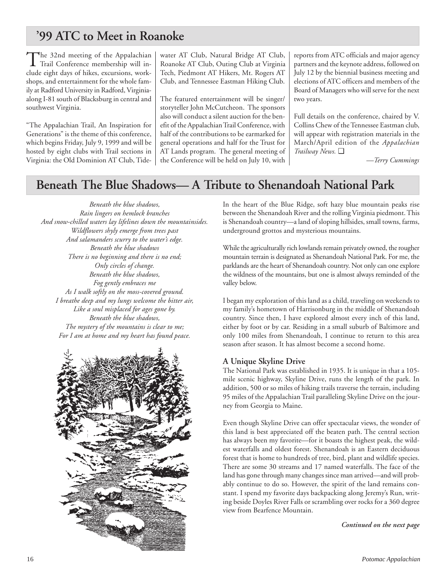## **'99 ATC to Meet in Roanoke**

The 32nd meeting of the Appalachian Trail Conference membership will include eight days of hikes, excursions, workshops, and entertainment for the whole family at Radford University in Radford, Virginiaalong I-81 south of Blacksburg in central and southwest Virginia.

"The Appalachian Trail, An Inspiration for Generations" is the theme of this conference, which begins Friday, July 9, 1999 and will be hosted by eight clubs with Trail sections in Virginia: the Old Dominion AT Club, Tide-

water AT Club, Natural Bridge AT Club, Roanoke AT Club, Outing Club at Virginia Tech, Piedmont AT Hikers, Mt. Rogers AT Club, and Tennessee Eastman Hiking Club.

The featured entertainment will be singer/ storyteller John McCutcheon. The sponsors also will conduct a silent auction for the benefit of the Appalachian Trail Conference, with half of the contributions to be earmarked for general operations and half for the Trust for AT Lands program. The general meeting of the Conference will be held on July 10, with

reports from ATC officials and major agency partners and the keynote address, followed on July 12 by the biennial business meeting and elections of ATC officers and members of the Board of Managers who will serve for the next two years.

Full details on the conference, chaired by V. Collins Chew of the Tennessee Eastman club, will appear with registration materials in the March/April edition of the *Appalachian Trailway News.* ❑

*—Terry Cummings*

## **Beneath The Blue Shadows— A Tribute to Shenandoah National Park**

*Beneath the blue shadows, Rain lingers on hemlock branches And snow-chilled waters lay lifelines down the mountainsides. Wildflowers shyly emerge from trees past And salamanders scurry to the water's edge. Beneath the blue shadows There is no beginning and there is no end; Only circles of change. Beneath the blue shadows, Fog gently embraces me As I walk softly on the moss-covered ground. I breathe deep and my lungs welcome the bitter air, Like a soul misplaced for ages gone by. Beneath the blue shadows, The mystery of the mountains is clear to me; For I am at home and my heart has found peace.*



In the heart of the Blue Ridge, soft hazy blue mountain peaks rise between the Shenandoah River and the rolling Virginia piedmont. This is Shenandoah country—a land of sloping hillsides, small towns, farms, underground grottos and mysterious mountains.

While the agriculturally rich lowlands remain privately owned, the rougher mountain terrain is designated as Shenandoah National Park. For me, the parklands are the heart of Shenandoah country. Not only can one explore the wildness of the mountains, but one is almost always reminded of the valley below.

I began my exploration of this land as a child, traveling on weekends to my family's hometown of Harrisonburg in the middle of Shenandoah country. Since then, I have explored almost every inch of this land, either by foot or by car. Residing in a small suburb of Baltimore and only 100 miles from Shenandoah, I continue to return to this area season after season. It has almost become a second home.

### **A Unique Skyline Drive**

The National Park was established in 1935. It is unique in that a 105 mile scenic highway, Skyline Drive, runs the length of the park. In addition, 500 or so miles of hiking trails traverse the terrain, including 95 miles of the Appalachian Trail paralleling Skyline Drive on the journey from Georgia to Maine.

Even though Skyline Drive can offer spectacular views, the wonder of this land is best appreciated off the beaten path. The central section has always been my favorite—for it boasts the highest peak, the wildest waterfalls and oldest forest. Shenandoah is an Eastern deciduous forest that is home to hundreds of tree, bird, plant and wildlife species. There are some 30 streams and 17 named waterfalls. The face of the land has gone through many changes since man arrived—and will probably continue to do so. However, the spirit of the land remains constant. I spend my favorite days backpacking along Jeremy's Run, writing beside Doyles River Falls or scrambling over rocks for a 360 degree view from Bearfence Mountain.

*Continued on the next page*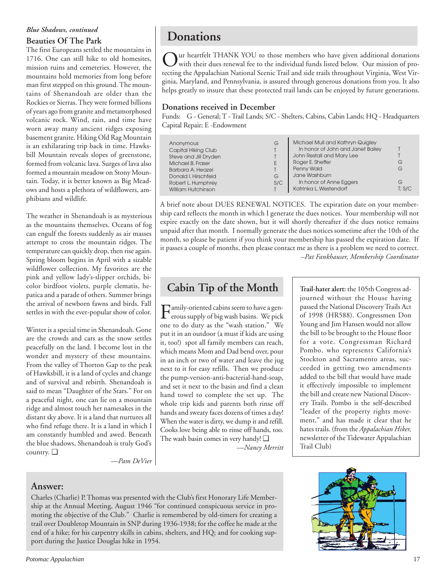## *Blue Shadows, continued*

## **Beauties Of The Park**

The first Europeans settled the mountains in 1716. One can still hike to old homesites, mission ruins and cemeteries. However, the mountains hold memories from long before man first stepped on this ground. The mountains of Shenandoah are older than the Rockies or Sierras. They were formed billions of years ago from granite and metamorphosed volcanic rock. Wind, rain, and time have worn away many ancient ridges exposing basement granite. Hiking Old Rag Mountain is an exhilarating trip back in time. Hawksbill Mountain reveals slopes of greenstone, formed from volcanic lava. Surges of lava also formed a mountain meadow on Stony Mountain. Today, it is better known as Big Meadows and hosts a plethora of wildflowers, amphibians and wildlife.

The weather in Shenandoah is as mysterious as the mountains themselves. Oceans of fog can engulf the forests suddenly as air masses attempt to cross the mountain ridges. The temperature can quickly drop, then rise again. Spring bloom begins in April with a sizable wildflower collection. My favorites are the pink and yellow lady's-slipper orchids, bicolor birdfoot violets, purple clematis, hepatica and a parade of others. Summer brings the arrival of newborn fawns and birds. Fall settles in with the ever-popular show of color.

Winter is a special time in Shenandoah. Gone are the crowds and cars as the snow settles peacefully on the land. I become lost in the wonder and mystery of these mountains. From the valley of Thorton Gap to the peak of Hawksbill, it is a land of cycles and change and of survival and rebirth. Shenandoah is said to mean "Daughter of the Stars." For on a peaceful night, one can lie on a mountain ridge and almost touch her namesakes in the distant sky above. It is a land that nurtures all who find refuge there. It is a land in which I am constantly humbled and awed. Beneath the blue shadows, Shenandoah is truly God's country. ❑

**Donations**

 $\sum$ ur heartfelt THANK YOU to those members who have given additional donations with their dues renewal fee to the individual funds listed below. Our mission of protecting the Appalachian National Scenic Trail and side trails throughout Virginia, West Virginia, Maryland, and Pennsylvania, is assured through generous donations from you. It also helps greatly to insure that these protected trail lands can be enjoyed by future generations.

### **Donations received in December**

Funds: G - General; T - Trail Lands; S/C - Shelters, Cabins, Cabin Lands; HQ - Headquarters Capital Repair; E -Endowment

| Anonymous<br>Capital Hiking Club<br>Steve and Jill Dryden<br>Michael B. Fraser<br>Barbara A. Heazel<br>Donald I. Hirschfeld<br>Robert L. Humphrey<br>William Hutchinson | G<br>G<br>S/C | Michael Mull and Kathryn Quigley<br>In honor of John and Janet Bailey<br>John Restall and Mary Lee<br>Roger E. Sheffer<br>Penny Wald<br>Jane Washburn<br>In honor of Anne Eggers<br>Katrinka L. Westendorf | G<br>G<br>G<br>T: S/C |
|-------------------------------------------------------------------------------------------------------------------------------------------------------------------------|---------------|------------------------------------------------------------------------------------------------------------------------------------------------------------------------------------------------------------|-----------------------|
|-------------------------------------------------------------------------------------------------------------------------------------------------------------------------|---------------|------------------------------------------------------------------------------------------------------------------------------------------------------------------------------------------------------------|-----------------------|

A brief note about DUES RENEWAL NOTICES. The expiration date on your membership card reflects the month in which I generate the dues notices. Your membership will not expire exactly on the date shown, but it will shortly thereafter if the dues notice remains unpaid after that month. I normally generate the dues notices sometime after the 10th of the month, so please be patient if you think your membership has passed the expiration date. If it passes a couple of months, then please contact me as there is a problem we need to correct. *–Pat Fankhauser, Membership Coordinator*

## **Cabin Tip of the Month**

Family-oriented cabins seem to have a gen-<br>erous supply of big wash basins. We pick one to do duty as the "wash station." We put it in an outdoor (a must if kids are using it, too!) spot all family members can reach, which means Mom and Dad bend over, pour in an inch or two of water and leave the jug next to it for easy refills. Then we produce the pump-version-anti-bacterial-hand-soap, and set it next to the basin and find a clean hand towel to complete the set up. The whole trip kids and parents both rinse off hands and sweaty faces dozens of times a day! When the water is dirty, we dump it and refill. Cooks love being able to rinse off hands, too. The wash basin comes in very handy! ❑ *—Nancy Merritt* **Trail-hater alert:** the 105th Congress adjourned without the House having passed the National Discovery Trails Act of 1998 (HR588). Congressmen Don Young and Jim Hansen would not allow the bill to be brought to the House floor for a vote. Congressman Richard Pombo, who represents California's Stockton and Sacramento areas, succeeded in getting two amendments added to the bill that would have made it effectively impossible to implement the bill and create new National Discovery Trails. Pombo is the self-described "leader of the property rights movement," and has made it clear that he hates trails. (from the *Appalachian Hiker,* newsletter of the Tidewater Appalachian Trail Club)

*—Pam DeVier*

## **Answer:**

Charles (Charlie) P. Thomas was presented with the Club's first Honorary Life Membership at the Annual Meeting, August 1946 "for continued conspicuous service in promoting the objective of the Club." Charlie is remembered by old-timers for creating a trail over Doubletop Mountain in SNP during 1936-1938; for the coffee he made at the end of a hike; for his carpentry skills in cabins, shelters, and HQ; and for cooking support during the Justice Douglas hike in 1954.

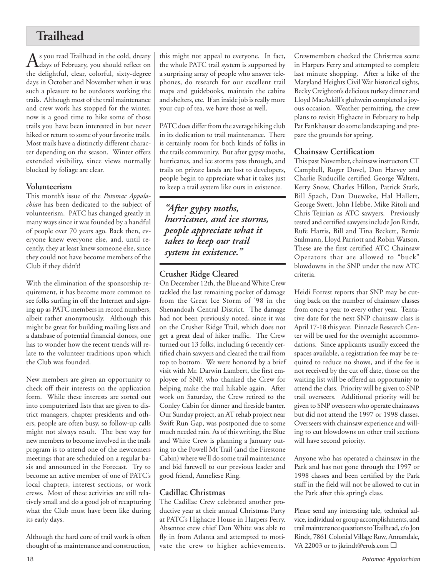## **Trailhead**

As you read Trailhead in the cold, dreary<br>days of February, you should reflect on the delightful, clear, colorful, sixty-degree days in October and November when it was such a pleasure to be outdoors working the trails. Although most of the trail maintenance and crew work has stopped for the winter, now is a good time to hike some of those trails you have been interested in but never hiked or return to some of your favorite trails. Most trails have a distinctly different character depending on the season. Winter offers extended visibility, since views normally blocked by foliage are clear.

### **Volunteerism**

This month's issue of the *Potomac Appalachian* has been dedicated to the subject of volunteerism. PATC has changed greatly in many ways since it was founded by a handful of people over 70 years ago. Back then, everyone knew everyone else, and, until recently, they at least knew someone else, since they could not have become members of the Club if they didn't!

With the elimination of the sponsorship requirement, it has become more common to see folks surfing in off the Internet and signing up as PATC members in record numbers, albeit rather anonymously. Although this might be great for building mailing lists and a database of potential financial donors, one has to wonder how the recent trends will relate to the volunteer traditions upon which the Club was founded.

New members are given an opportunity to check off their interests on the application form. While these interests are sorted out into computerized lists that are given to district managers, chapter presidents and others, people are often busy, so follow-up calls might not always result. The best way for new members to become involved in the trails program is to attend one of the newcomers meetings that are scheduled on a regular basis and announced in the Forecast. Try to become an active member of one of PATC's local chapters, interest sections, or work crews. Most of these activities are still relatively small and do a good job of recapturing what the Club must have been like during its early days.

Although the hard core of trail work is often thought of as maintenance and construction,

this might not appeal to everyone. In fact, the whole PATC trail system is supported by a surprising array of people who answer telephones, do research for our excellent trail maps and guidebooks, maintain the cabins and shelters, etc. If an inside job is really more your cup of tea, we have those as well.

PATC does differ from the average hiking club in its dedication to trail maintenance. There is certainly room for both kinds of folks in the trails community. But after gypsy moths, hurricanes, and ice storms pass through, and trails on private lands are lost to developers, people begin to appreciate what it takes just to keep a trail system like ours in existence.

*"After gypsy moths, hurricanes, and ice storms, people appreciate what it takes to keep our trail system in existence."*

### **Crusher Ridge Cleared**

On December 12th, the Blue and White Crew tackled the last remaining pocket of damage from the Great Ice Storm of '98 in the Shenandoah Central District. The damage had not been previously noted, since it was on the Crusher Ridge Trail, which does not get a great deal of hiker traffic. The Crew turned out 13 folks, including 6 recently certified chain sawyers and cleared the trail from top to bottom. We were honored by a brief visit with Mr. Darwin Lambert, the first employee of SNP, who thanked the Crew for helping make the trail hikable again. After work on Saturday, the Crew retired to the Conley Cabin for dinner and fireside banter. Our Sunday project, an AT rehab project near Swift Run Gap, was postponed due to some much needed rain. As of this writing, the Blue and White Crew is planning a January outing to the Powell Mt Trail (and the Firestone Cabin) where we'll do some trail maintenance and bid farewell to our previous leader and good friend, Anneliese Ring.

### **Cadillac Christmas**

The Cadillac Crew celebrated another productive year at their annual Christmas Party at PATC's Highacre House in Harpers Ferry. Absentee crew chief Don White was able to fly in from Atlanta and attempted to motivate the crew to higher achievements. Crewmembers checked the Christmas scene in Harpers Ferry and attempted to complete last minute shopping. After a hike of the Maryland Heights Civil War historical sights, Becky Creighton's delicious turkey dinner and Lloyd MacAskill's gluhwein completed a joyous occasion. Weather permitting, the crew plans to revisit Highacre in February to help Pat Fankhauser do some landscaping and prepare the grounds for spring.

## **Chainsaw Certification**

This past November, chainsaw instructors CT Campbell, Roger Dovel, Don Harvey and Charlie Ruducille certified George Walters, Kerry Snow, Charles Hillon, Patrick Stark, Bill Spach, Dan Dueweke, Hal Hallett, George Swett, John Hebbe, Mike Ritoli and Chris Tejirian as ATC sawyers. Previously tested and certified sawyers include Jon Rindt, Rufe Harris, Bill and Tina Beckett, Bernie Stalmann, Lloyd Parriott and Robin Watson. These are the first certified ATC Chainsaw Operators that are allowed to "buck" blowdowns in the SNP under the new ATC criteria.

Heidi Forrest reports that SNP may be cutting back on the number of chainsaw classes from once a year to every other year. Tentative date for the next SNP chainsaw class is April 17-18 this year. Pinnacle Research Center will be used for the overnight accommodations. Since applicants usually exceed the spaces available, a registration fee may be required to reduce no shows, and if the fee is not received by the cut off date, those on the waiting list will be offered an opportunity to attend the class. Priority will be given to SNP trail overseers. Additional priority will be given to SNP overseers who operate chainsaws but did not attend the 1997 or 1998 classes. Overseers with chainsaw experience and willing to cut blowdowns on other trail sections will have second priority.

Anyone who has operated a chainsaw in the Park and has not gone through the 1997 or 1998 classes and been certified by the Park staff in the field will not be allowed to cut in the Park after this spring's class.

Please send any interesting tale, technical advice, individual or group accomplishments, and trail maintenance questions to Trailhead, c/o Jon Rindt, 7861 Colonial Village Row, Annandale, VA 22003 or to jkrindt@erols.com ❑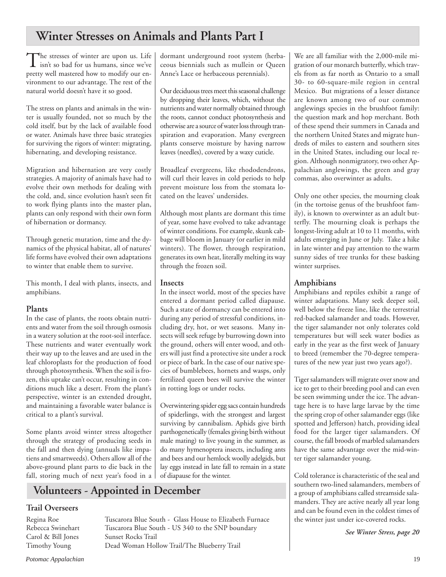## **Winter Stresses on Animals and Plants Part I**

The stresses of winter are upon us. Life<br>
isn't so bad for us humans, since we've pretty well mastered how to modify our environment to our advantage. The rest of the natural world doesn't have it so good.

The stress on plants and animals in the winter is usually founded, not so much by the cold itself, but by the lack of available food or water. Animals have three basic strategies for surviving the rigors of winter: migrating, hibernating, and developing resistance.

Migration and hibernation are very costly strategies. A majority of animals have had to evolve their own methods for dealing with the cold, and, since evolution hasn't seen fit to work flying plants into the master plan, plants can only respond with their own form of hibernation or dormancy.

Through genetic mutation, time and the dynamics of the physical habitat, all of natures' life forms have evolved their own adaptations to winter that enable them to survive.

This month, I deal with plants, insects, and amphibians.

### **Plants**

In the case of plants, the roots obtain nutrients and water from the soil through osmosis in a watery solution at the root-soil interface. These nutrients and water eventually work their way up to the leaves and are used in the leaf chloroplasts for the production of food through photosynthesis. When the soil is frozen, this uptake can't occur, resulting in conditions much like a desert. From the plant's perspective, winter is an extended drought, and maintaining a favorable water balance is critical to a plant's survival.

Some plants avoid winter stress altogether through the strategy of producing seeds in the fall and then dying (annuals like impatiens and smartweeds). Others allow all of the above-ground plant parts to die back in the fall, storing much of next year's food in a dormant underground root system (herbaceous biennials such as mullein or Queen Anne's Lace or herbaceous perennials).

Our deciduous trees meet this seasonal challenge by dropping their leaves, which, without the nutrients and water normally obtained through the roots, cannot conduct photosynthesis and otherwise are a source of water loss through transpiration and evaporation. Many evergreen plants conserve moisture by having narrow leaves (needles), covered by a waxy cuticle.

Broadleaf evergreens, like rhododendrons, will curl their leaves in cold periods to help prevent moisture loss from the stomata located on the leaves' undersides.

Although most plants are dormant this time of year, some have evolved to take advantage of winter conditions. For example, skunk cabbage will bloom in January (or earlier in mild winters). The flower, through respiration, generates its own heat, literally melting its way through the frozen soil.

### **Insects**

In the insect world, most of the species have entered a dormant period called diapause. Such a state of dormancy can be entered into during any period of stressful conditions, including dry, hot, or wet seasons. Many insects will seek refuge by burrowing down into the ground, others will enter wood, and others will just find a protective site under a rock or piece of bark. In the case of our native species of bumblebees, hornets and wasps, only fertilized queen bees will survive the winter in rotting logs or under rocks.

Overwintering spider egg sacs contain hundreds of spiderlings, with the strongest and largest surviving by cannibalism. Aphids give birth parthogenetically (females giving birth without male mating) to live young in the summer, as do many hymenoptera insects, including ants and bees and our hemlock woolly adelgids, but lay eggs instead in late fall to remain in a state of diapause for the winter.

## **Volunteers - Appointed in December**

### **Trail Overseers**

Carol & Bill Jones Sunset Rocks Trail

Regina Roe Tuscarora Blue South - Glass House to Elizabeth Furnace Rebecca Swinehart Tuscarora Blue South - US 340 to the SNP boundary Timothy Young Dead Woman Hollow Trail/The Blueberry Trail

We are all familiar with the 2,000-mile migration of our monarch butterfly, which travels from as far north as Ontario to a small 30- to 60-square-mile region in central Mexico. But migrations of a lesser distance are known among two of our common anglewings species in the brushfoot family: the question mark and hop merchant. Both of these spend their summers in Canada and the northern United States and migrate hundreds of miles to eastern and southern sites in the United States, including our local region. Although nonmigratory, two other Appalachian anglewings, the green and gray commas, also overwinter as adults.

Only one other species, the mourning cloak (in the tortoise genus of the brushfoot family), is known to overwinter as an adult butterfly. The mourning cloak is perhaps the longest-living adult at 10 to 11 months, with adults emerging in June or July. Take a hike in late winter and pay attention to the warm sunny sides of tree trunks for these basking winter surprises.

## **Amphibians**

Amphibians and reptiles exhibit a range of winter adaptations. Many seek deeper soil, well below the freeze line, like the terrestrial red-backed salamander and toads. However, the tiger salamander not only tolerates cold temperatures but will seek water bodies as early in the year as the first week of January to breed (remember the 70-degree temperatures of the new year just two years ago?).

Tiger salamanders will migrate over snow and ice to get to their breeding pool and can even be seen swimming under the ice. The advantage here is to have large larvae by the time the spring crop of other salamander eggs (like spotted and Jefferson) hatch, providing ideal food for the larger tiger salamanders. Of course, the fall broods of marbled salamanders have the same advantage over the mid-winter tiger salamander young.

Cold tolerance is characteristic of the seal and southern two-lined salamanders, members of a group of amphibians called streamside salamanders. They are active nearly all year long and can be found even in the coldest times of the winter just under ice-covered rocks.

*See Winter Stress, page 20*